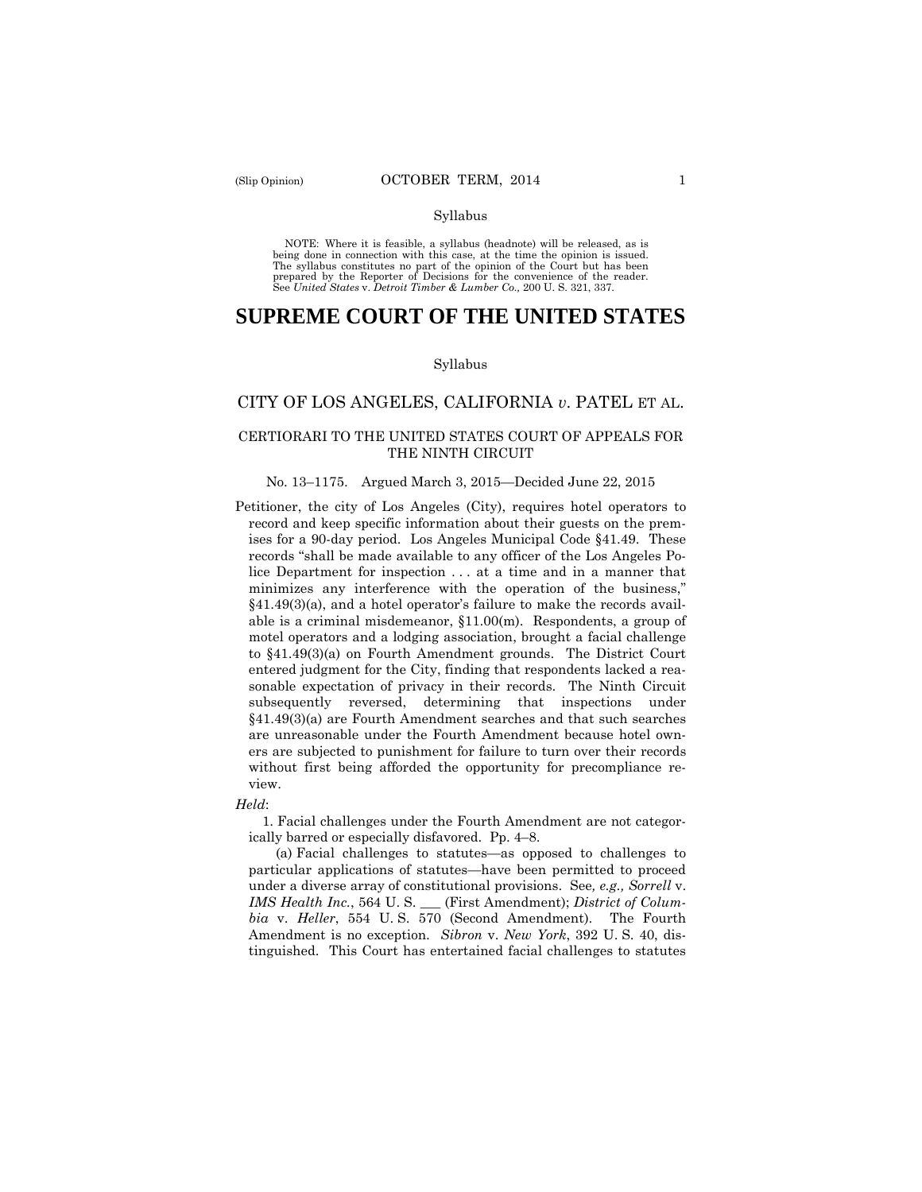#### Syllabus

 NOTE: Where it is feasible, a syllabus (headnote) will be released, as is being done in connection with this case, at the time the opinion is issued. The syllabus constitutes no part of the opinion of the Court but has been<br>prepared by the Reporter of Decisions for the convenience of the reader.<br>See United States v. Detroit Timber & Lumber Co., 200 U. S. 321, 337.

# **SUPREME COURT OF THE UNITED STATES**

#### Syllabus

# CITY OF LOS ANGELES, CALIFORNIA *v*. PATEL ET AL.

### CERTIORARI TO THE UNITED STATES COURT OF APPEALS FOR THE NINTH CIRCUIT

#### No. 13–1175. Argued March 3, 2015—Decided June 22, 2015

Petitioner, the city of Los Angeles (City), requires hotel operators to record and keep specific information about their guests on the premises for a 90-day period. Los Angeles Municipal Code §41.49. These records "shall be made available to any officer of the Los Angeles Police Department for inspection . . . at a time and in a manner that minimizes any interference with the operation of the business," §41.49(3)(a), and a hotel operator's failure to make the records available is a criminal misdemeanor, §11.00(m). Respondents, a group of motel operators and a lodging association, brought a facial challenge to §41.49(3)(a) on Fourth Amendment grounds. The District Court entered judgment for the City, finding that respondents lacked a reasonable expectation of privacy in their records. The Ninth Circuit subsequently reversed, determining that inspections under §41.49(3)(a) are Fourth Amendment searches and that such searches are unreasonable under the Fourth Amendment because hotel owners are subjected to punishment for failure to turn over their records without first being afforded the opportunity for precompliance review.

#### *Held*:

1. Facial challenges under the Fourth Amendment are not categorically barred or especially disfavored. Pp. 4–8.

(a) Facial challenges to statutes—as opposed to challenges to particular applications of statutes—have been permitted to proceed under a diverse array of constitutional provisions. See*, e.g., Sorrell* v. *IMS Health Inc.*, 564 U. S. \_\_\_ (First Amendment); *District of Columbia* v. *Heller*, 554 U. S. 570 (Second Amendment). The Fourth Amendment is no exception. *Sibron* v. *New York*, 392 U. S. 40, distinguished. This Court has entertained facial challenges to statutes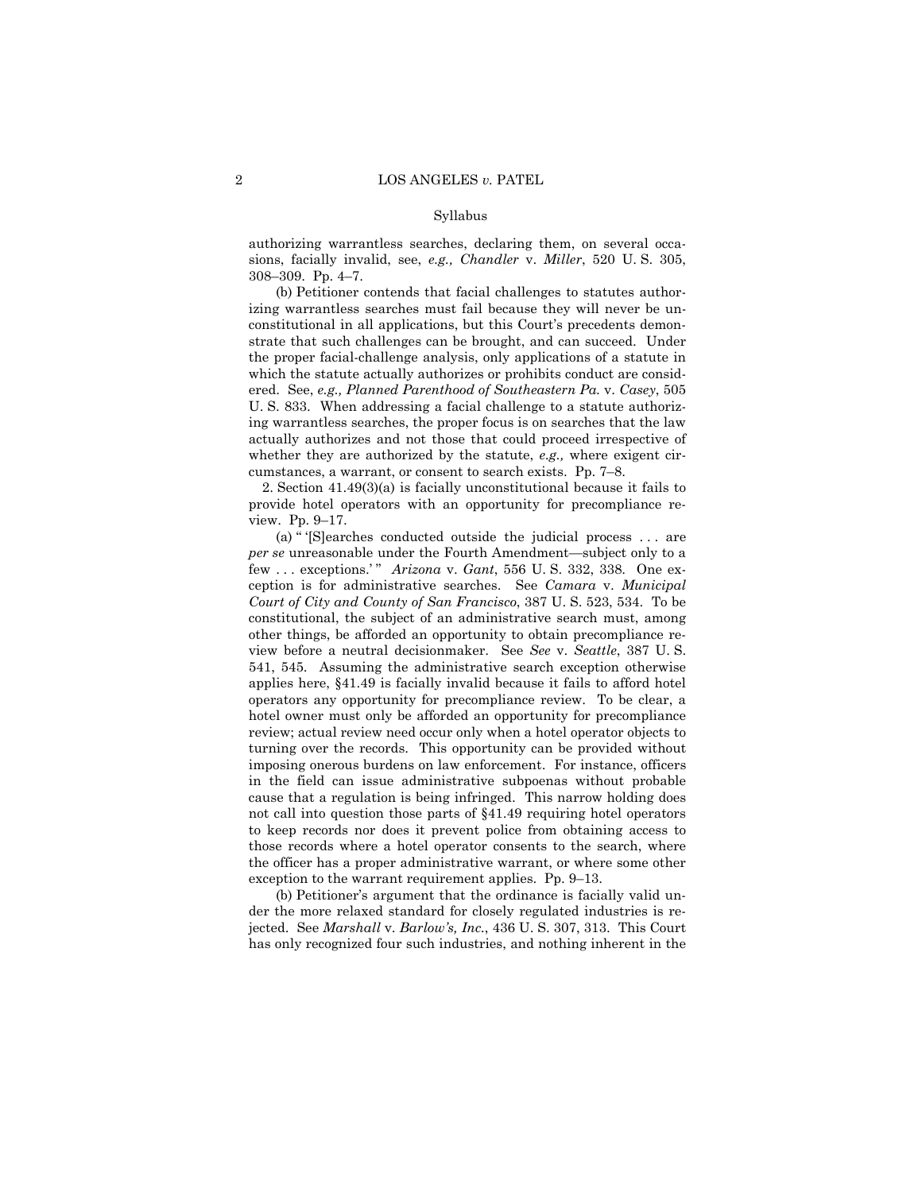#### Syllabus

authorizing warrantless searches, declaring them, on several occasions, facially invalid, see, *e.g., Chandler* v. *Miller*, 520 U. S. 305, 308–309. Pp. 4–7.

(b) Petitioner contends that facial challenges to statutes authorizing warrantless searches must fail because they will never be unconstitutional in all applications, but this Court's precedents demonstrate that such challenges can be brought, and can succeed. Under the proper facial-challenge analysis, only applications of a statute in which the statute actually authorizes or prohibits conduct are considered. See, *e.g., Planned Parenthood of Southeastern Pa.* v. *Casey*, 505 U. S. 833. When addressing a facial challenge to a statute authorizing warrantless searches, the proper focus is on searches that the law actually authorizes and not those that could proceed irrespective of whether they are authorized by the statute, *e.g.,* where exigent circumstances, a warrant, or consent to search exists. Pp. 7–8.

2. Section 41.49(3)(a) is facially unconstitutional because it fails to provide hotel operators with an opportunity for precompliance review. Pp. 9–17.

(a) " '[S]earches conducted outside the judicial process . . . are *per se* unreasonable under the Fourth Amendment—subject only to a few . . . exceptions.' " *Arizona* v. *Gant*, 556 U. S. 332, 338. One exception is for administrative searches. See *Camara* v. *Municipal Court of City and County of San Francisco*, 387 U. S. 523, 534. To be constitutional, the subject of an administrative search must, among other things, be afforded an opportunity to obtain precompliance review before a neutral decisionmaker. See *See* v. *Seattle*, 387 U. S. 541, 545. Assuming the administrative search exception otherwise applies here, §41.49 is facially invalid because it fails to afford hotel operators any opportunity for precompliance review. To be clear, a hotel owner must only be afforded an opportunity for precompliance review; actual review need occur only when a hotel operator objects to turning over the records. This opportunity can be provided without imposing onerous burdens on law enforcement. For instance, officers in the field can issue administrative subpoenas without probable cause that a regulation is being infringed. This narrow holding does not call into question those parts of §41.49 requiring hotel operators to keep records nor does it prevent police from obtaining access to those records where a hotel operator consents to the search, where the officer has a proper administrative warrant, or where some other exception to the warrant requirement applies. Pp. 9–13.

(b) Petitioner's argument that the ordinance is facially valid under the more relaxed standard for closely regulated industries is rejected. See *Marshall* v. *Barlow's, Inc.*, 436 U. S. 307, 313. This Court has only recognized four such industries, and nothing inherent in the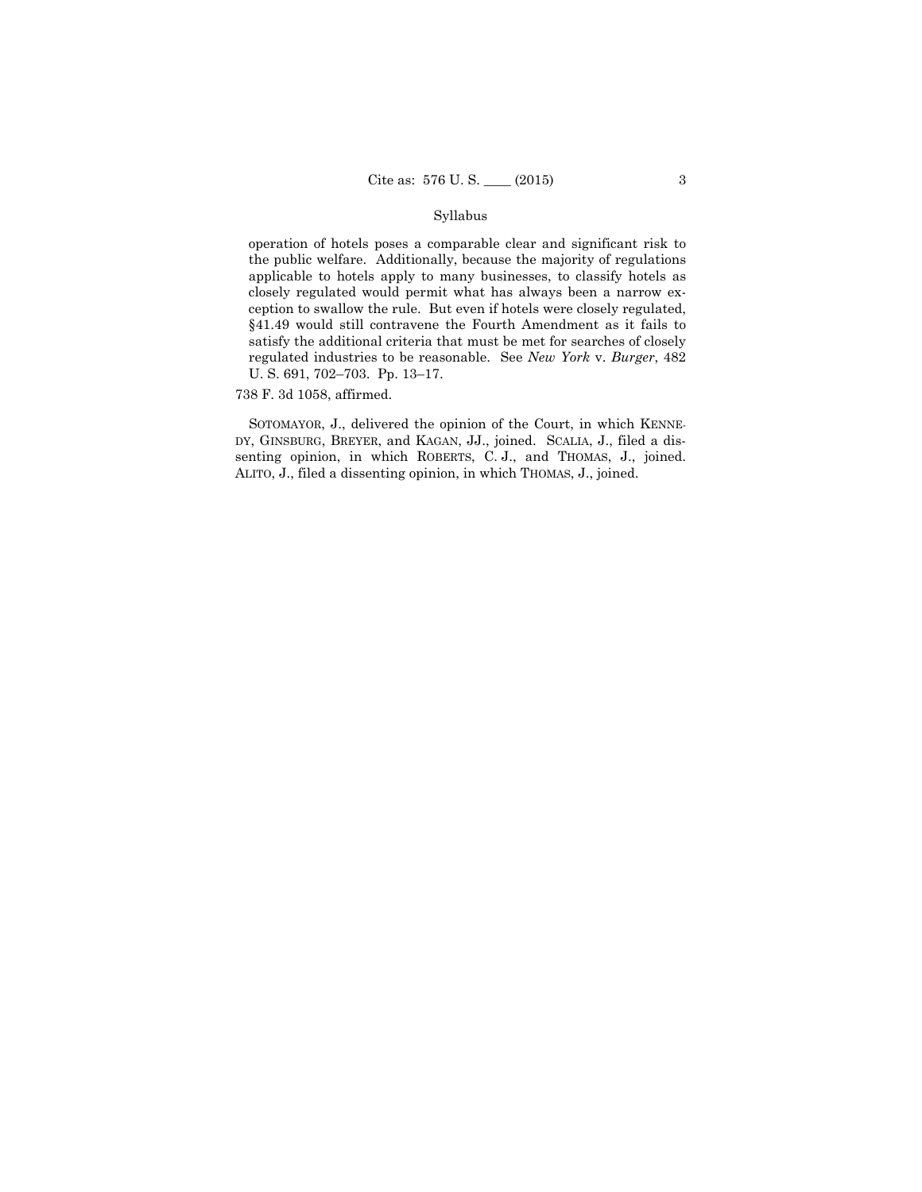#### Syllabus

operation of hotels poses a comparable clear and significant risk to the public welfare. Additionally, because the majority of regulations applicable to hotels apply to many businesses, to classify hotels as closely regulated would permit what has always been a narrow exception to swallow the rule. But even if hotels were closely regulated, §41.49 would still contravene the Fourth Amendment as it fails to satisfy the additional criteria that must be met for searches of closely regulated industries to be reasonable. See *New York* v. *Burger*, 482 U. S. 691, 702–703. Pp. 13–17.

738 F. 3d 1058, affirmed.

senting opinion, in which ROBERTS, C.J., and THOMAS, J., joined. SOTOMAYOR, J., delivered the opinion of the Court, in which KENNE-DY, GINSBURG, BREYER, and KAGAN, JJ., joined. SCALIA, J., filed a dis-ALITO, J., filed a dissenting opinion, in which THOMAS, J., joined.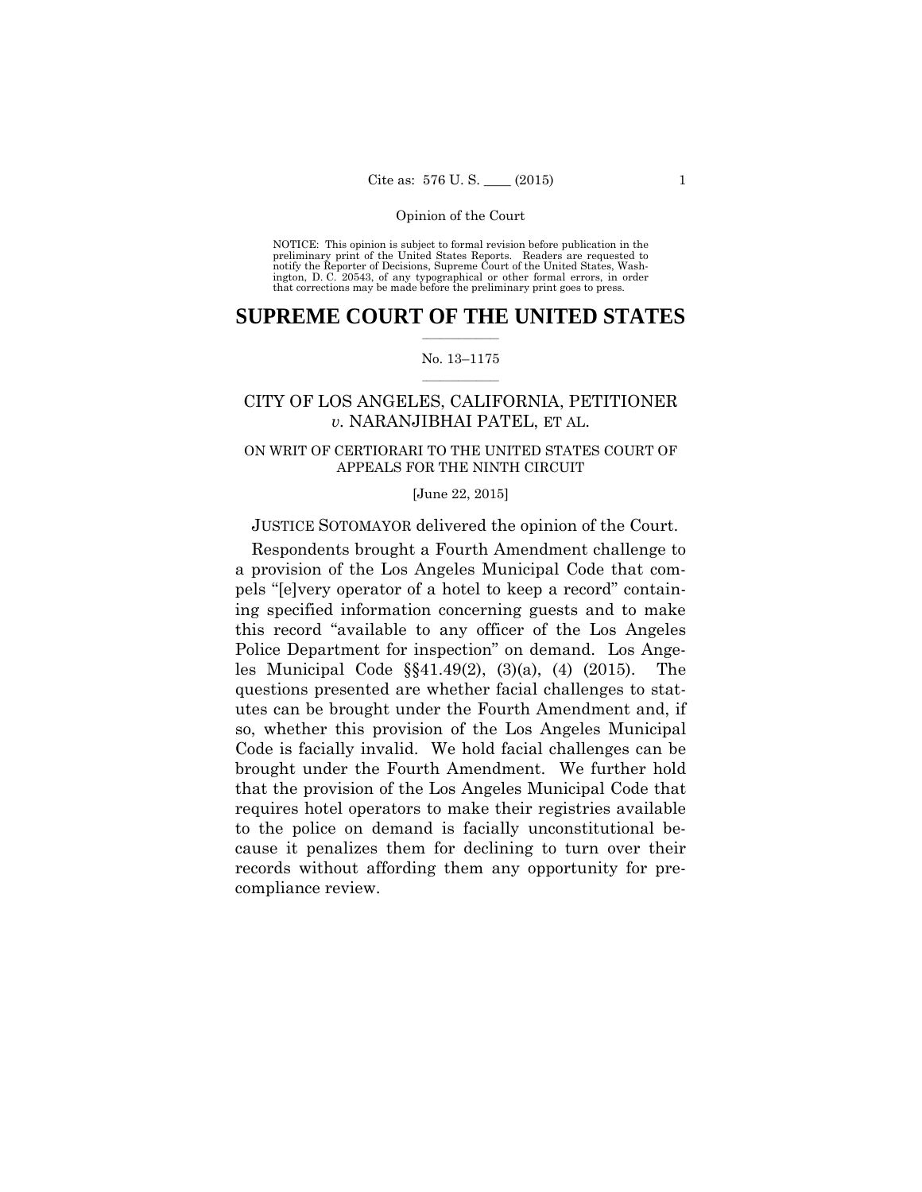preliminary print of the United States Reports. Readers are requested to notify the Reporter of Decisions, Supreme Court of the United States, Wash- ington, D. C. 20543, of any typographical or other formal errors, in order that corrections may be made before the preliminary print goes to press. NOTICE: This opinion is subject to formal revision before publication in the

### $\frac{1}{2}$  ,  $\frac{1}{2}$  ,  $\frac{1}{2}$  ,  $\frac{1}{2}$  ,  $\frac{1}{2}$  ,  $\frac{1}{2}$  ,  $\frac{1}{2}$ **SUPREME COURT OF THE UNITED STATES**

#### $\frac{1}{2}$  ,  $\frac{1}{2}$  ,  $\frac{1}{2}$  ,  $\frac{1}{2}$  ,  $\frac{1}{2}$  ,  $\frac{1}{2}$ No. 13–1175

# CITY OF LOS ANGELES, CALIFORNIA, PETITIONER *v.* NARANJIBHAI PATEL, ET AL.

# ON WRIT OF CERTIORARI TO THE UNITED STATES COURT OF APPEALS FOR THE NINTH CIRCUIT

#### [June 22, 2015]

### JUSTICE SOTOMAYOR delivered the opinion of the Court.

Respondents brought a Fourth Amendment challenge to a provision of the Los Angeles Municipal Code that compels "[e]very operator of a hotel to keep a record" containing specified information concerning guests and to make this record "available to any officer of the Los Angeles Police Department for inspection" on demand. Los Angeles Municipal Code §§41.49(2), (3)(a), (4) (2015). The questions presented are whether facial challenges to statutes can be brought under the Fourth Amendment and, if so, whether this provision of the Los Angeles Municipal Code is facially invalid. We hold facial challenges can be brought under the Fourth Amendment. We further hold that the provision of the Los Angeles Municipal Code that requires hotel operators to make their registries available to the police on demand is facially unconstitutional because it penalizes them for declining to turn over their records without affording them any opportunity for precompliance review.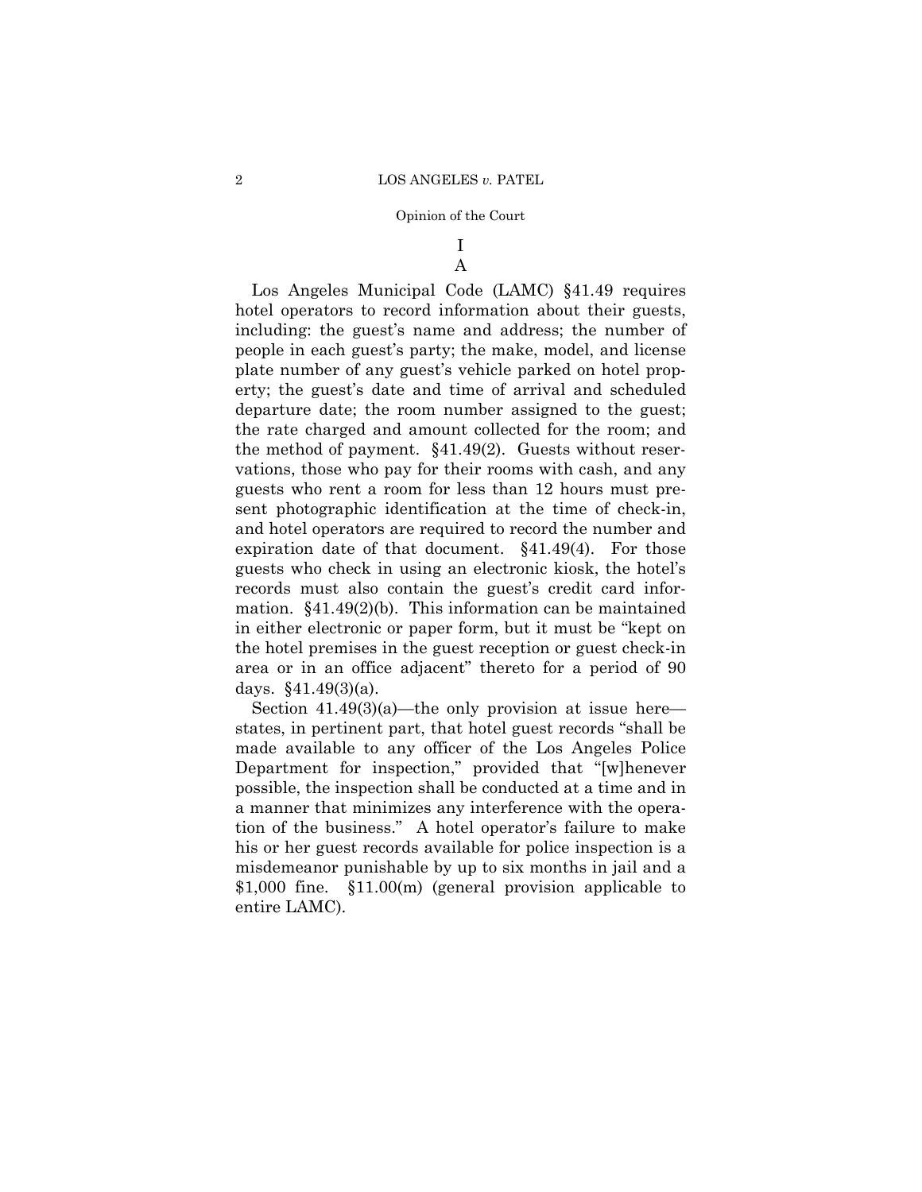# I A

Los Angeles Municipal Code (LAMC) §41.49 requires hotel operators to record information about their guests, including: the guest's name and address; the number of people in each guest's party; the make, model, and license plate number of any guest's vehicle parked on hotel property; the guest's date and time of arrival and scheduled departure date; the room number assigned to the guest; the rate charged and amount collected for the room; and the method of payment. §41.49(2). Guests without reservations, those who pay for their rooms with cash, and any guests who rent a room for less than 12 hours must present photographic identification at the time of check-in, and hotel operators are required to record the number and expiration date of that document. §41.49(4). For those guests who check in using an electronic kiosk, the hotel's records must also contain the guest's credit card information. §41.49(2)(b). This information can be maintained in either electronic or paper form, but it must be "kept on the hotel premises in the guest reception or guest check-in area or in an office adjacent" thereto for a period of 90 days. §41.49(3)(a).

Section 41.49(3)(a)—the only provision at issue here states, in pertinent part, that hotel guest records "shall be made available to any officer of the Los Angeles Police Department for inspection," provided that "[w]henever possible, the inspection shall be conducted at a time and in a manner that minimizes any interference with the operation of the business." A hotel operator's failure to make his or her guest records available for police inspection is a misdemeanor punishable by up to six months in jail and a \$1,000 fine. §11.00(m) (general provision applicable to entire LAMC).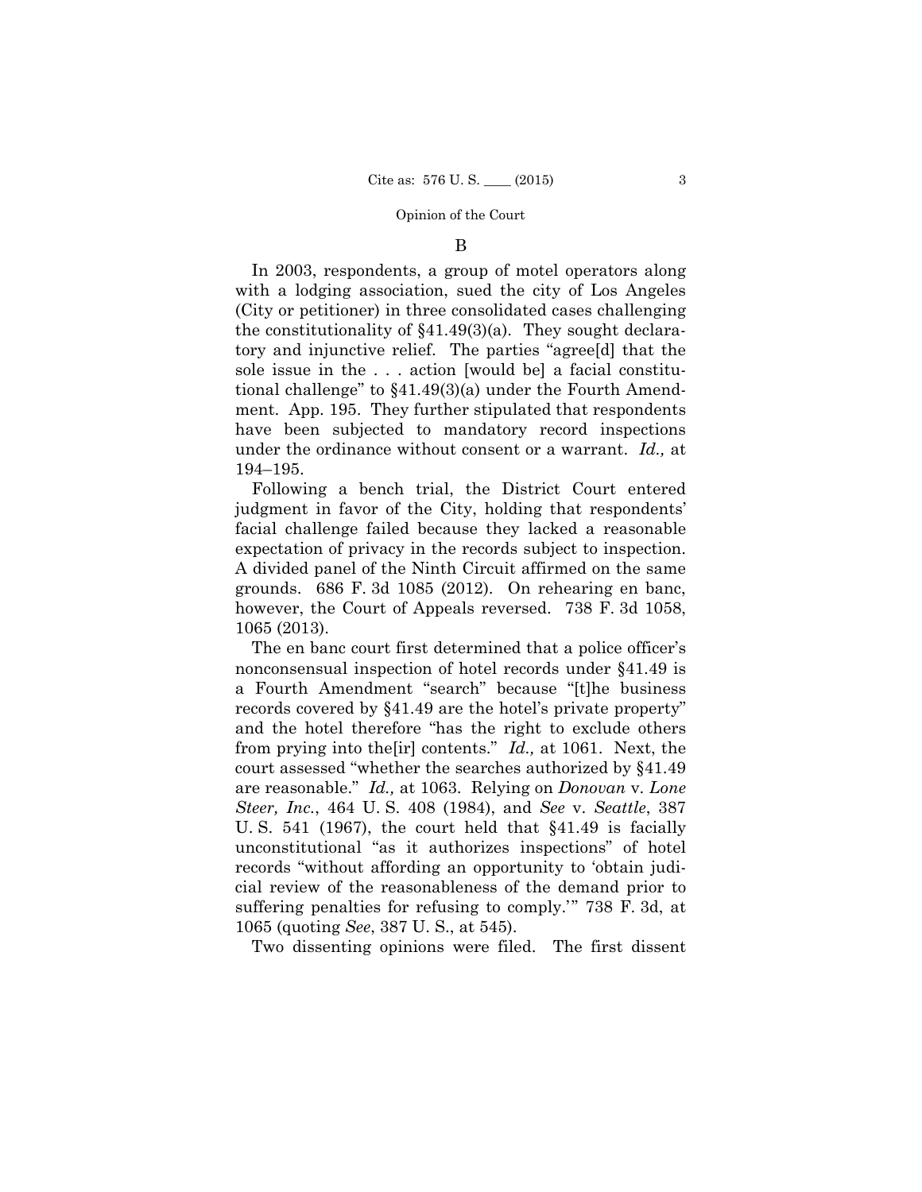### B

In 2003, respondents, a group of motel operators along with a lodging association, sued the city of Los Angeles (City or petitioner) in three consolidated cases challenging the constitutionality of  $§41.49(3)(a)$ . They sought declaratory and injunctive relief. The parties "agree[d] that the sole issue in the . . . action [would be] a facial constitutional challenge" to §41.49(3)(a) under the Fourth Amendment. App. 195. They further stipulated that respondents have been subjected to mandatory record inspections under the ordinance without consent or a warrant. *Id.,* at 194–195.

Following a bench trial, the District Court entered judgment in favor of the City, holding that respondents' facial challenge failed because they lacked a reasonable expectation of privacy in the records subject to inspection. A divided panel of the Ninth Circuit affirmed on the same grounds. 686 F. 3d 1085 (2012). On rehearing en banc, however, the Court of Appeals reversed. 738 F. 3d 1058, 1065 (2013).

The en banc court first determined that a police officer's nonconsensual inspection of hotel records under §41.49 is a Fourth Amendment "search" because "[t]he business records covered by §41.49 are the hotel's private property" and the hotel therefore "has the right to exclude others from prying into the[ir] contents." *Id.,* at 1061. Next, the court assessed "whether the searches authorized by §41.49 are reasonable." *Id.,* at 1063. Relying on *Donovan* v. *Lone Steer, Inc.*, 464 U. S. 408 (1984), and *See* v. *Seattle*, 387 U. S. 541 (1967), the court held that §41.49 is facially unconstitutional "as it authorizes inspections" of hotel records "without affording an opportunity to 'obtain judicial review of the reasonableness of the demand prior to suffering penalties for refusing to comply.'" 738 F. 3d, at 1065 (quoting *See*, 387 U. S., at 545).

Two dissenting opinions were filed. The first dissent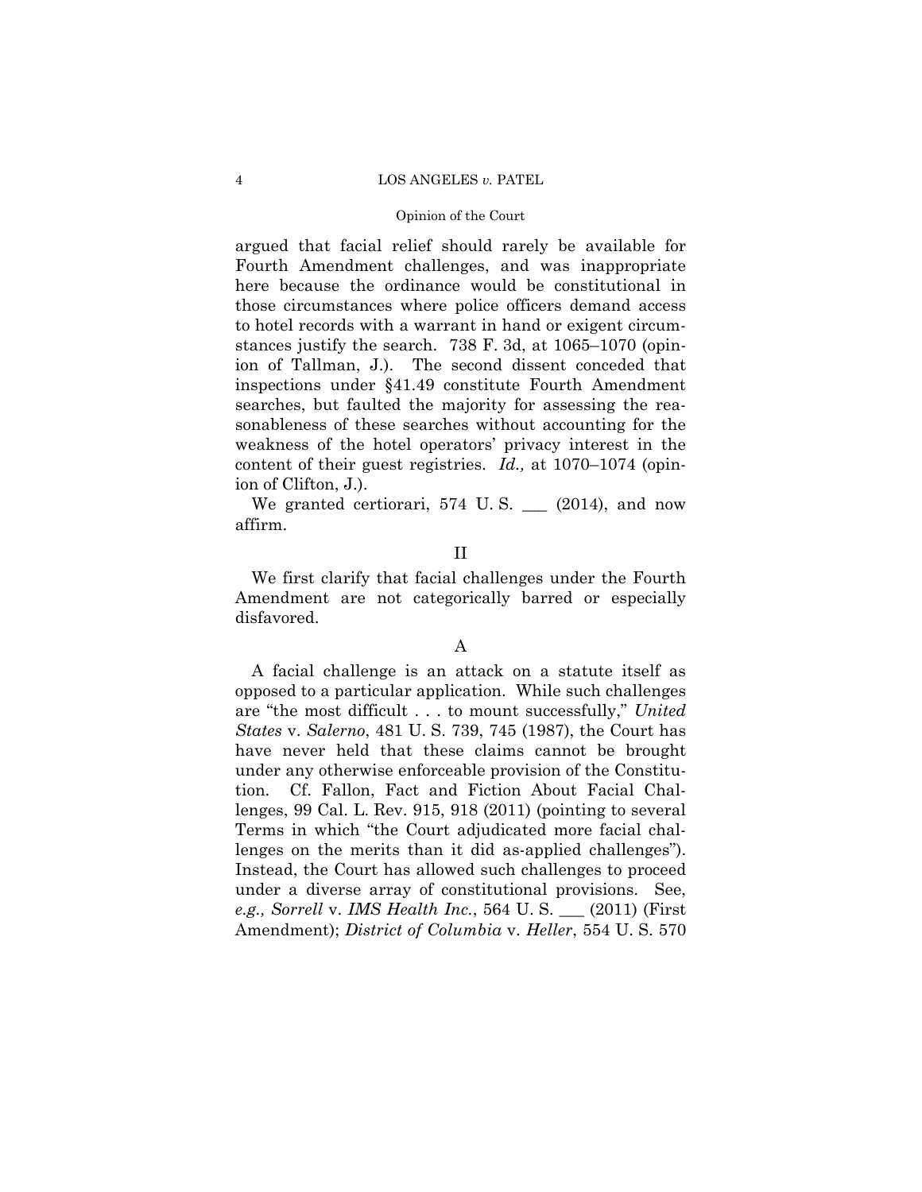# 4 LOS ANGELES *v.* PATEL

#### Opinion of the Court

argued that facial relief should rarely be available for Fourth Amendment challenges, and was inappropriate here because the ordinance would be constitutional in those circumstances where police officers demand access to hotel records with a warrant in hand or exigent circumstances justify the search. 738 F. 3d, at 1065–1070 (opinion of Tallman, J.). The second dissent conceded that inspections under §41.49 constitute Fourth Amendment searches, but faulted the majority for assessing the reasonableness of these searches without accounting for the weakness of the hotel operators' privacy interest in the content of their guest registries. *Id.,* at 1070–1074 (opinion of Clifton, J.).

We granted certiorari,  $574$  U.S.  $\_\_$  (2014), and now affirm.

We first clarify that facial challenges under the Fourth Amendment are not categorically barred or especially disfavored.

 lenges on the merits than it did as-applied challenges"). A facial challenge is an attack on a statute itself as opposed to a particular application. While such challenges are "the most difficult . . . to mount successfully," *United States* v. *Salerno*, 481 U. S. 739, 745 (1987), the Court has have never held that these claims cannot be brought under any otherwise enforceable provision of the Constitution. Cf. Fallon, Fact and Fiction About Facial Challenges, 99 Cal. L. Rev. 915, 918 (2011) (pointing to several Terms in which "the Court adjudicated more facial chal-Instead, the Court has allowed such challenges to proceed under a diverse array of constitutional provisions. See, *e.g., Sorrell* v. *IMS Health Inc.*, 564 U. S. \_\_\_ (2011) (First Amendment); *District of Columbia* v. *Heller*, 554 U. S. 570

II

A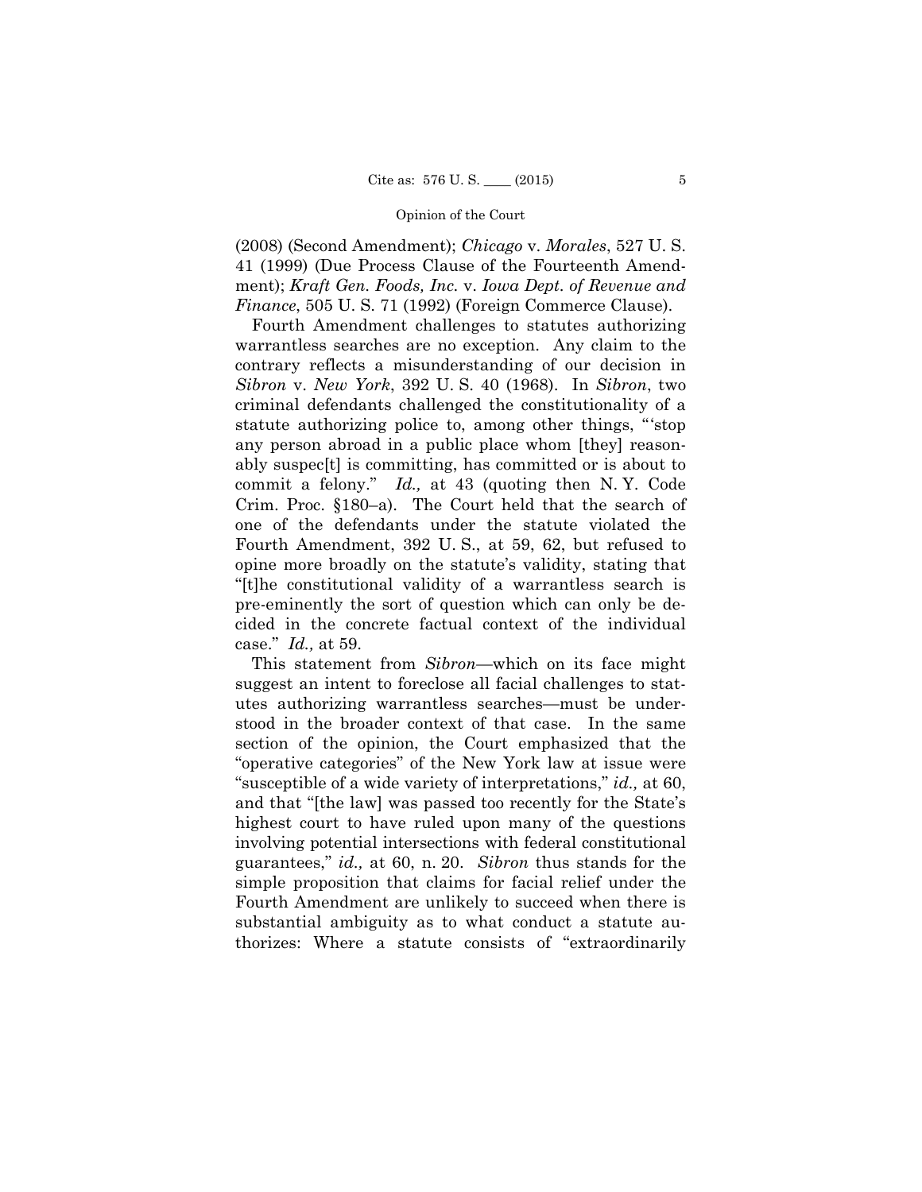(2008) (Second Amendment); *Chicago* v. *Morales*, 527 U. S. 41 (1999) (Due Process Clause of the Fourteenth Amendment); *Kraft Gen. Foods, Inc.* v. *Iowa Dept. of Revenue and Finance*, 505 U. S. 71 (1992) (Foreign Commerce Clause).

Fourth Amendment challenges to statutes authorizing warrantless searches are no exception. Any claim to the contrary reflects a misunderstanding of our decision in *Sibron* v. *New York*, 392 U. S. 40 (1968). In *Sibron*, two criminal defendants challenged the constitutionality of a statute authorizing police to, among other things, "'stop any person abroad in a public place whom [they] reasonably suspec[t] is committing, has committed or is about to commit a felony." *Id.,* at 43 (quoting then N. Y. Code Crim. Proc. §180–a). The Court held that the search of one of the defendants under the statute violated the Fourth Amendment, 392 U. S., at 59, 62, but refused to opine more broadly on the statute's validity, stating that "[t]he constitutional validity of a warrantless search is pre-eminently the sort of question which can only be decided in the concrete factual context of the individual case." *Id.,* at 59.

This statement from *Sibron*—which on its face might suggest an intent to foreclose all facial challenges to statutes authorizing warrantless searches—must be understood in the broader context of that case. In the same section of the opinion, the Court emphasized that the "operative categories" of the New York law at issue were "susceptible of a wide variety of interpretations," *id.,* at 60, and that "[the law] was passed too recently for the State's highest court to have ruled upon many of the questions involving potential intersections with federal constitutional guarantees," *id.,* at 60, n. 20. *Sibron* thus stands for the simple proposition that claims for facial relief under the Fourth Amendment are unlikely to succeed when there is substantial ambiguity as to what conduct a statute authorizes: Where a statute consists of "extraordinarily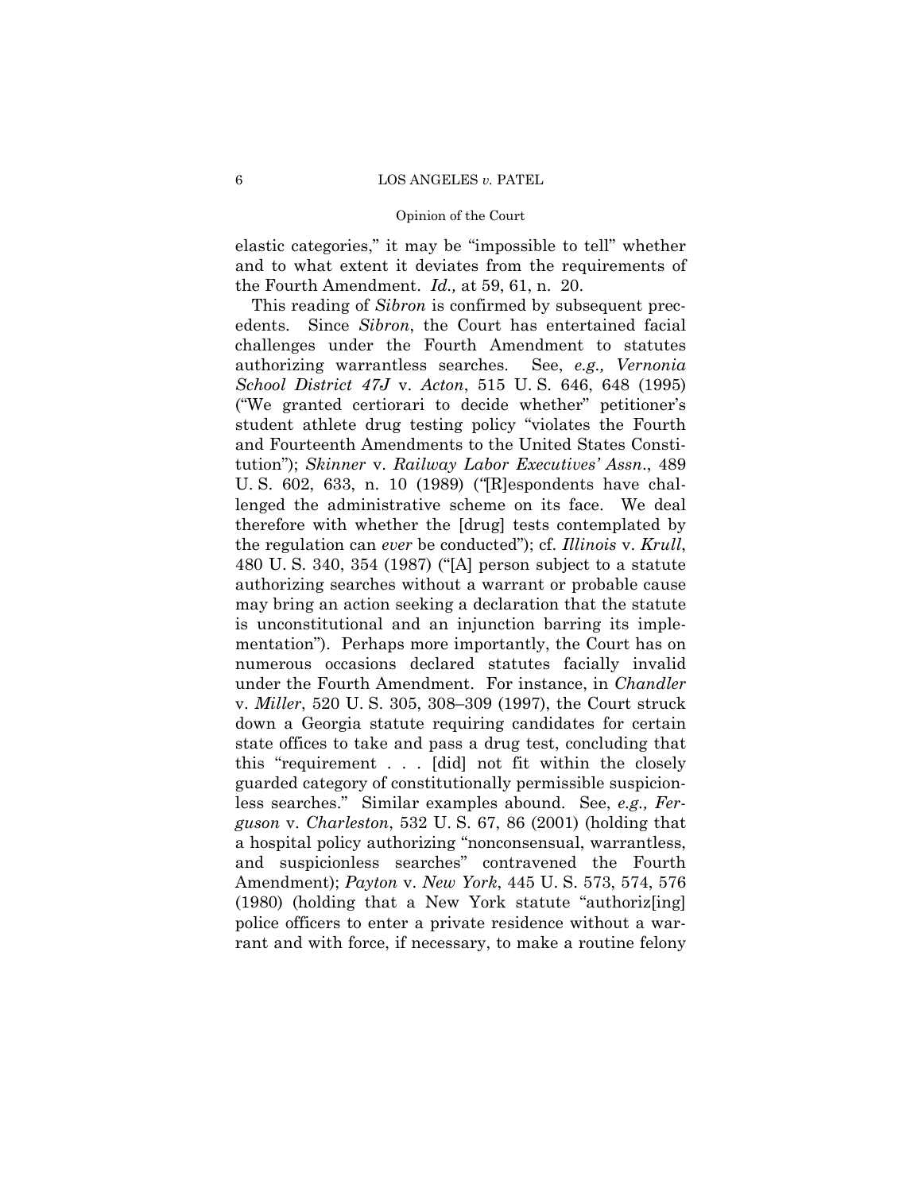# 6 LOS ANGELES *v.* PATEL

#### Opinion of the Court

elastic categories," it may be "impossible to tell" whether and to what extent it deviates from the requirements of the Fourth Amendment. *Id.,* at 59, 61, n. 20.

This reading of *Sibron* is confirmed by subsequent precedents. Since *Sibron*, the Court has entertained facial challenges under the Fourth Amendment to statutes authorizing warrantless searches. See, *e.g., Vernonia School District 47J* v. *Acton*, 515 U. S. 646, 648 (1995) ("We granted certiorari to decide whether" petitioner's student athlete drug testing policy "violates the Fourth and Fourteenth Amendments to the United States Constitution"); *Skinner* v. *Railway Labor Executives' Assn*., 489 U. S. 602, 633, n. 10 (1989) (*"*[R]espondents have challenged the administrative scheme on its face. We deal therefore with whether the [drug] tests contemplated by the regulation can *ever* be conducted"); cf. *Illinois* v. *Krull*, 480 U. S. 340, 354 (1987) ("[A] person subject to a statute authorizing searches without a warrant or probable cause may bring an action seeking a declaration that the statute is unconstitutional and an injunction barring its implementation"). Perhaps more importantly, the Court has on numerous occasions declared statutes facially invalid under the Fourth Amendment. For instance, in *Chandler*  v. *Miller*, 520 U. S. 305, 308–309 (1997), the Court struck down a Georgia statute requiring candidates for certain state offices to take and pass a drug test, concluding that this "requirement . . . [did] not fit within the closely guarded category of constitutionally permissible suspicionless searches." Similar examples abound. See, *e.g., Ferguson* v. *Charleston*, 532 U. S. 67, 86 (2001) (holding that a hospital policy authorizing "nonconsensual, warrantless, and suspicionless searches" contravened the Fourth Amendment); *Payton* v. *New York*, 445 U. S. 573, 574, 576 (1980) (holding that a New York statute "authoriz[ing] police officers to enter a private residence without a warrant and with force, if necessary, to make a routine felony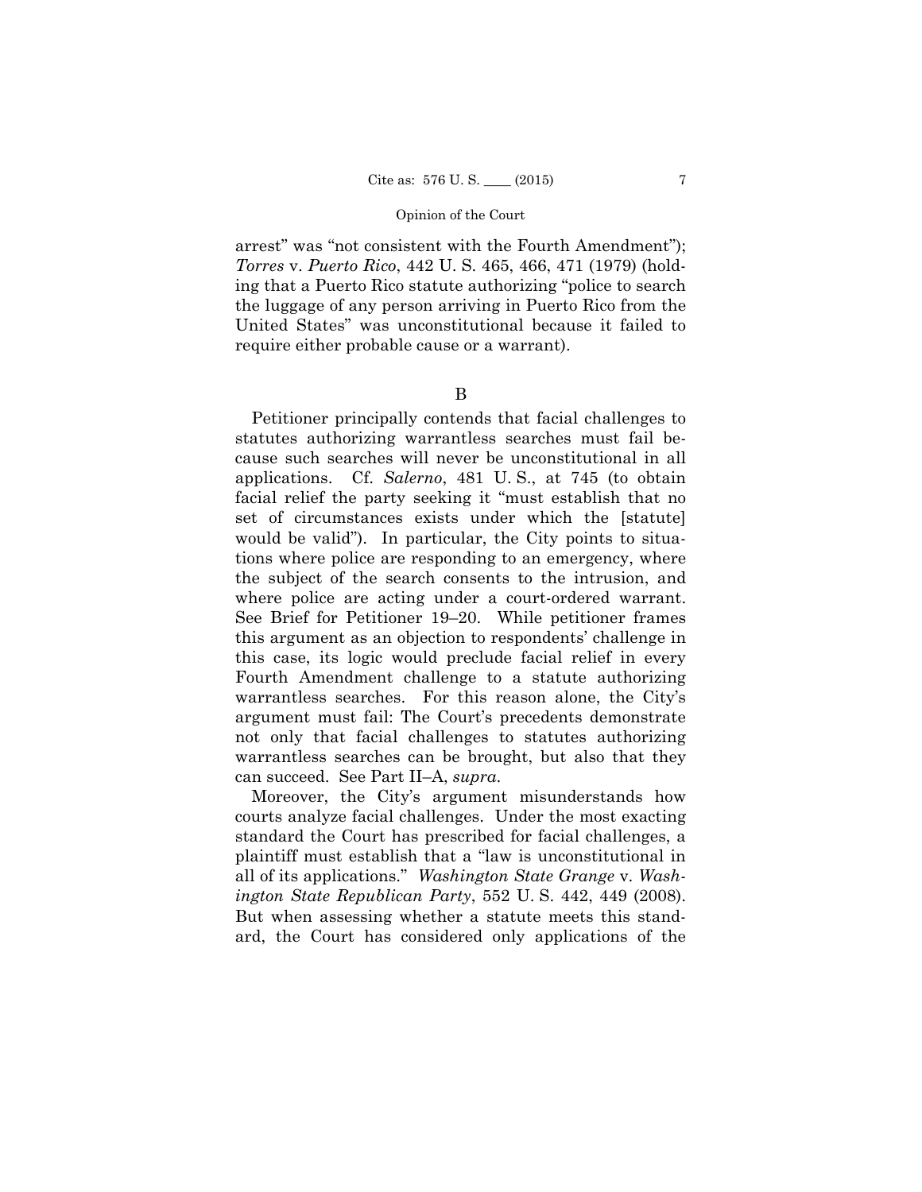arrest" was "not consistent with the Fourth Amendment"); *Torres* v. *Puerto Rico*, 442 U. S. 465, 466, 471 (1979) (holding that a Puerto Rico statute authorizing "police to search the luggage of any person arriving in Puerto Rico from the United States" was unconstitutional because it failed to require either probable cause or a warrant).

### B

Petitioner principally contends that facial challenges to statutes authorizing warrantless searches must fail because such searches will never be unconstitutional in all applications. Cf. *Salerno*, 481 U. S., at 745 (to obtain facial relief the party seeking it "must establish that no set of circumstances exists under which the [statute] would be valid"). In particular, the City points to situations where police are responding to an emergency, where the subject of the search consents to the intrusion, and where police are acting under a court-ordered warrant. See Brief for Petitioner 19–20. While petitioner frames this argument as an objection to respondents' challenge in this case, its logic would preclude facial relief in every Fourth Amendment challenge to a statute authorizing warrantless searches. For this reason alone, the City's argument must fail: The Court's precedents demonstrate not only that facial challenges to statutes authorizing warrantless searches can be brought, but also that they can succeed. See Part II–A, *supra*.

Moreover, the City's argument misunderstands how courts analyze facial challenges. Under the most exacting standard the Court has prescribed for facial challenges, a plaintiff must establish that a "law is unconstitutional in all of its applications." *Washington State Grange* v. *Washington State Republican Party*, 552 U. S. 442, 449 (2008). But when assessing whether a statute meets this standard, the Court has considered only applications of the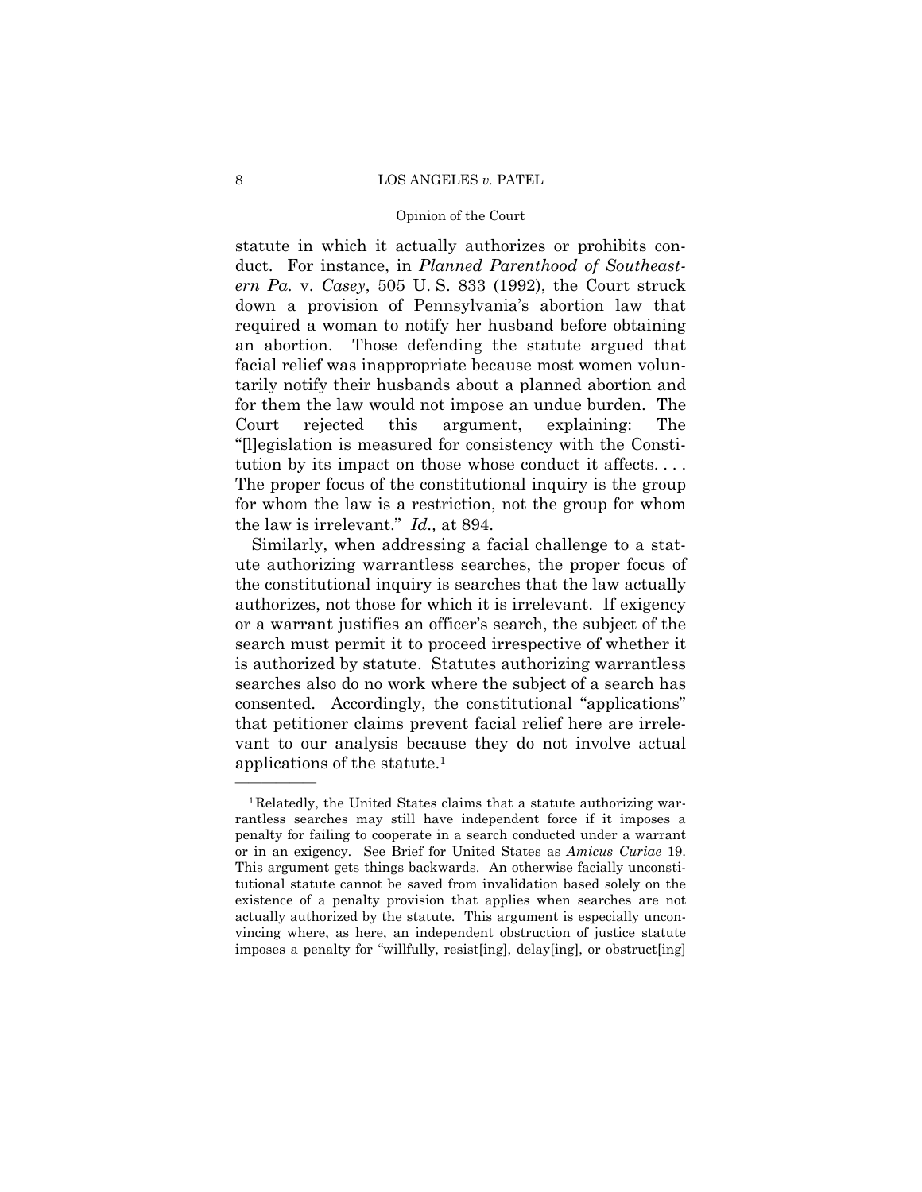#### 8 LOS ANGELES *v.* PATEL

#### Opinion of the Court

statute in which it actually authorizes or prohibits conduct. For instance, in *Planned Parenthood of Southeastern Pa.* v. *Casey*, 505 U. S. 833 (1992), the Court struck down a provision of Pennsylvania's abortion law that required a woman to notify her husband before obtaining an abortion. Those defending the statute argued that facial relief was inappropriate because most women voluntarily notify their husbands about a planned abortion and for them the law would not impose an undue burden. The Court rejected this argument, explaining: The "[l]egislation is measured for consistency with the Constitution by its impact on those whose conduct it affects. . . . The proper focus of the constitutional inquiry is the group for whom the law is a restriction, not the group for whom the law is irrelevant." *Id.,* at 894.

authorizes, not those for which it is irrelevant. If exigency Similarly, when addressing a facial challenge to a statute authorizing warrantless searches, the proper focus of the constitutional inquiry is searches that the law actually or a warrant justifies an officer's search, the subject of the search must permit it to proceed irrespective of whether it is authorized by statute. Statutes authorizing warrantless searches also do no work where the subject of a search has consented. Accordingly, the constitutional "applications" that petitioner claims prevent facial relief here are irrelevant to our analysis because they do not involve actual applications of the statute.1

<sup>1</sup>Relatedly, the United States claims that a statute authorizing warrantless searches may still have independent force if it imposes a penalty for failing to cooperate in a search conducted under a warrant or in an exigency. See Brief for United States as *Amicus Curiae* 19. This argument gets things backwards. An otherwise facially unconstitutional statute cannot be saved from invalidation based solely on the existence of a penalty provision that applies when searches are not actually authorized by the statute. This argument is especially unconvincing where, as here, an independent obstruction of justice statute imposes a penalty for "willfully, resist[ing], delay[ing], or obstruct[ing]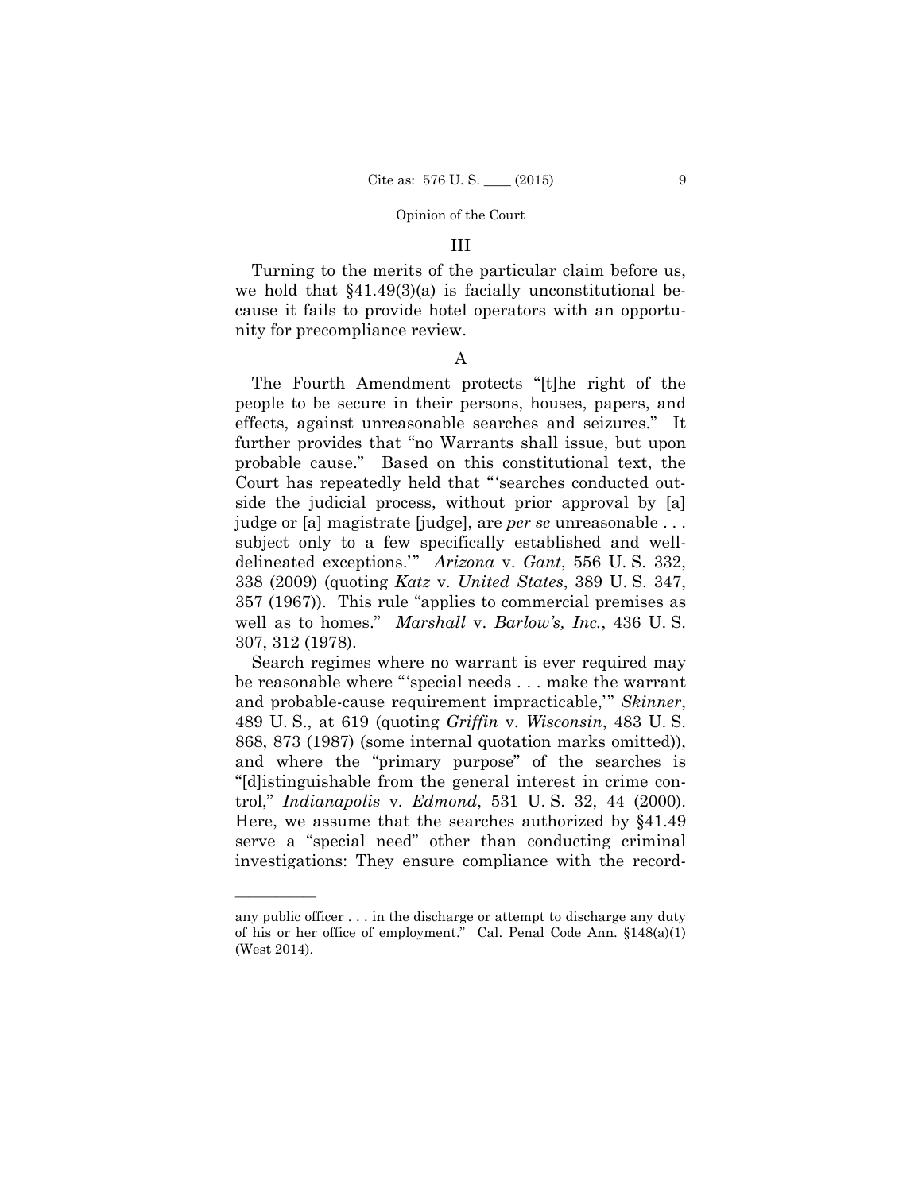### III

Turning to the merits of the particular claim before us, we hold that  $§41.49(3)(a)$  is facially unconstitutional because it fails to provide hotel operators with an opportunity for precompliance review.

A

The Fourth Amendment protects "[t]he right of the people to be secure in their persons, houses, papers, and effects, against unreasonable searches and seizures." It further provides that "no Warrants shall issue, but upon probable cause." Based on this constitutional text, the Court has repeatedly held that "'searches conducted outside the judicial process, without prior approval by [a] judge or [a] magistrate [judge], are *per se* unreasonable . . . subject only to a few specifically established and welldelineated exceptions.'" *Arizona* v. *Gant*, 556 U. S. 332, 338 (2009) (quoting *Katz* v. *United States*, 389 U. S. 347, 357 (1967)). This rule "applies to commercial premises as well as to homes." *Marshall* v. *Barlow's, Inc.*, 436 U. S. 307, 312 (1978).

Search regimes where no warrant is ever required may be reasonable where "'special needs . . . make the warrant and probable-cause requirement impracticable,'" *Skinner*, 489 U. S., at 619 (quoting *Griffin* v. *Wisconsin*, 483 U. S. 868, 873 (1987) (some internal quotation marks omitted)), and where the "primary purpose" of the searches is "[d]istinguishable from the general interest in crime control," *Indianapolis* v. *Edmond*, 531 U. S. 32, 44 (2000). Here, we assume that the searches authorized by §41.49 serve a "special need" other than conducting criminal investigations: They ensure compliance with the record-

any public officer . . . in the discharge or attempt to discharge any duty of his or her office of employment." Cal. Penal Code Ann. §148(a)(1) (West 2014).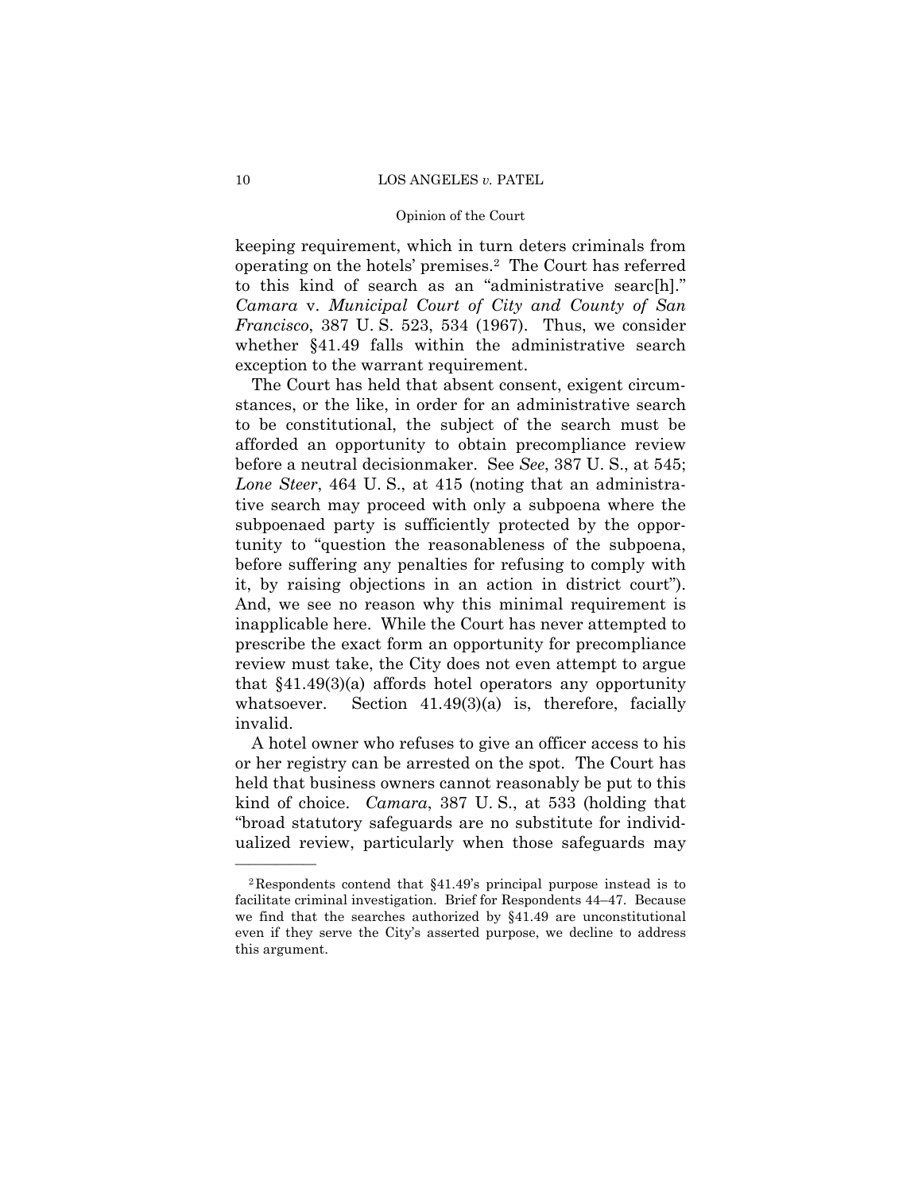operating on the hotels' premises.2 The Court has referred keeping requirement, which in turn deters criminals from to this kind of search as an "administrative searc[h]." *Camara* v. *Municipal Court of City and County of San Francisco*, 387 U. S. 523, 534 (1967). Thus, we consider whether §41.49 falls within the administrative search exception to the warrant requirement.

The Court has held that absent consent, exigent circumstances, or the like, in order for an administrative search to be constitutional, the subject of the search must be afforded an opportunity to obtain precompliance review before a neutral decisionmaker. See *See*, 387 U. S., at 545; *Lone Steer*, 464 U. S., at 415 (noting that an administrative search may proceed with only a subpoena where the subpoenaed party is sufficiently protected by the opportunity to "question the reasonableness of the subpoena, before suffering any penalties for refusing to comply with it, by raising objections in an action in district court"). And, we see no reason why this minimal requirement is inapplicable here. While the Court has never attempted to prescribe the exact form an opportunity for precompliance review must take, the City does not even attempt to argue that §41.49(3)(a) affords hotel operators any opportunity whatsoever. Section 41.49(3)(a) is, therefore, facially invalid.

A hotel owner who refuses to give an officer access to his or her registry can be arrested on the spot. The Court has held that business owners cannot reasonably be put to this kind of choice. *Camara*, 387 U. S., at 533 (holding that "broad statutory safeguards are no substitute for individualized review, particularly when those safeguards may

<sup>2</sup>Respondents contend that §41.49's principal purpose instead is to facilitate criminal investigation. Brief for Respondents 44–47. Because we find that the searches authorized by §41.49 are unconstitutional even if they serve the City's asserted purpose, we decline to address this argument.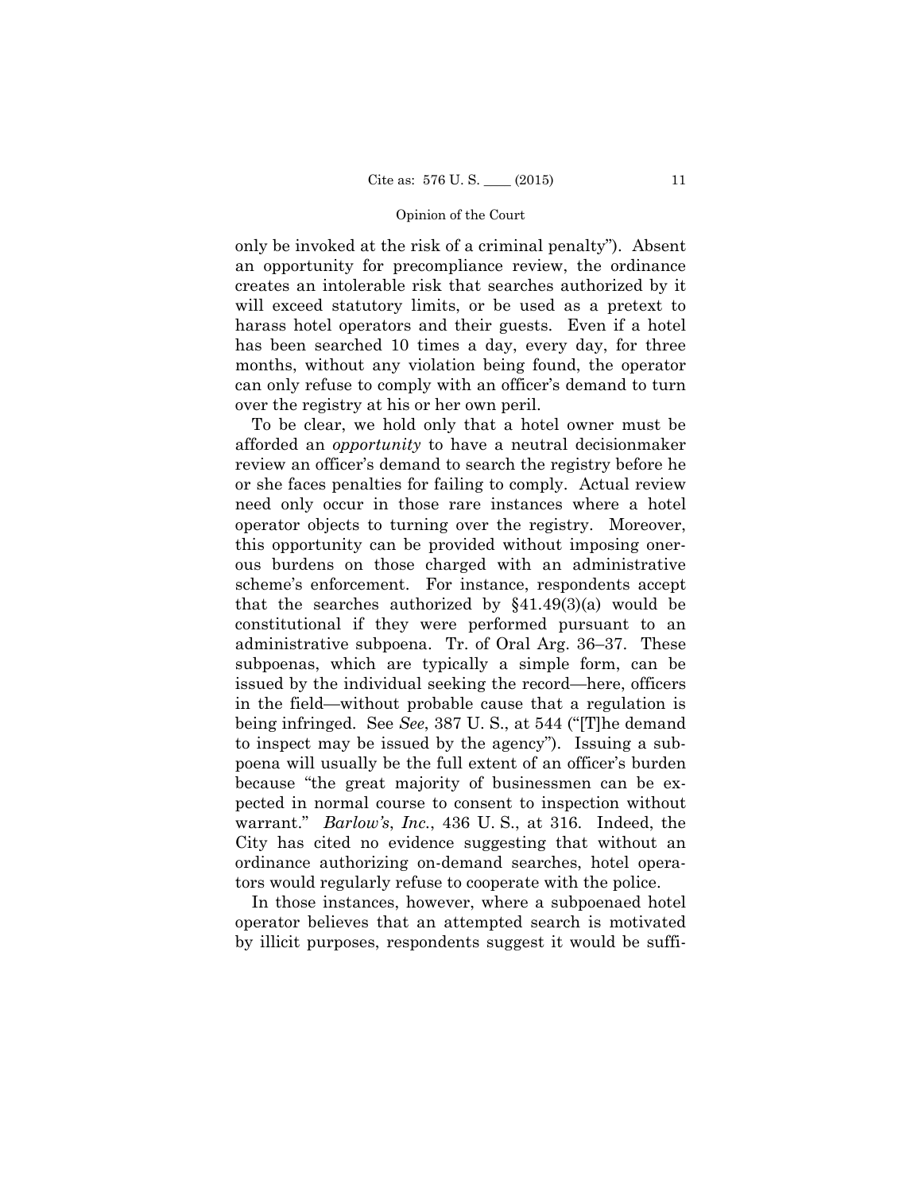only be invoked at the risk of a criminal penalty"). Absent an opportunity for precompliance review, the ordinance creates an intolerable risk that searches authorized by it will exceed statutory limits, or be used as a pretext to harass hotel operators and their guests. Even if a hotel has been searched 10 times a day, every day, for three months, without any violation being found, the operator can only refuse to comply with an officer's demand to turn over the registry at his or her own peril.

To be clear, we hold only that a hotel owner must be afforded an *opportunity* to have a neutral decisionmaker review an officer's demand to search the registry before he or she faces penalties for failing to comply. Actual review need only occur in those rare instances where a hotel operator objects to turning over the registry. Moreover, this opportunity can be provided without imposing onerous burdens on those charged with an administrative scheme's enforcement. For instance, respondents accept that the searches authorized by  $§41.49(3)(a)$  would be constitutional if they were performed pursuant to an administrative subpoena. Tr. of Oral Arg. 36–37. These subpoenas, which are typically a simple form, can be issued by the individual seeking the record—here, officers in the field—without probable cause that a regulation is being infringed. See *See*, 387 U. S., at 544 ("[T]he demand to inspect may be issued by the agency"). Issuing a subpoena will usually be the full extent of an officer's burden because "the great majority of businessmen can be expected in normal course to consent to inspection without warrant." *Barlow's*, *Inc.*, 436 U. S., at 316. Indeed, the City has cited no evidence suggesting that without an ordinance authorizing on-demand searches, hotel operators would regularly refuse to cooperate with the police.

In those instances, however, where a subpoenaed hotel operator believes that an attempted search is motivated by illicit purposes, respondents suggest it would be suffi-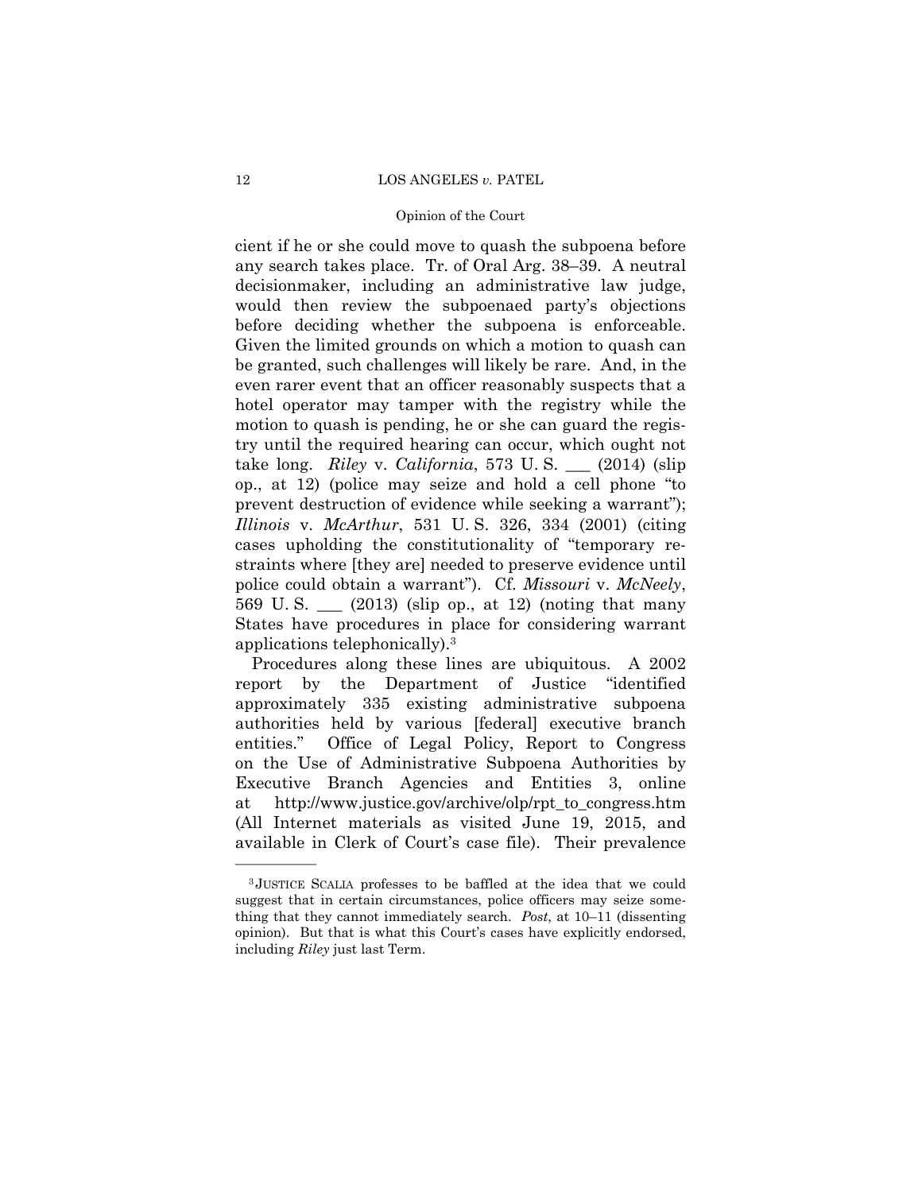#### 12 LOS ANGELES *v.* PATEL

#### Opinion of the Court

cient if he or she could move to quash the subpoena before any search takes place. Tr. of Oral Arg. 38–39. A neutral decisionmaker, including an administrative law judge, would then review the subpoenaed party's objections before deciding whether the subpoena is enforceable. Given the limited grounds on which a motion to quash can be granted, such challenges will likely be rare. And, in the even rarer event that an officer reasonably suspects that a hotel operator may tamper with the registry while the motion to quash is pending, he or she can guard the registry until the required hearing can occur, which ought not take long. *Riley* v. *California*, 573 U. S. \_\_\_ (2014) (slip op., at 12) (police may seize and hold a cell phone "to prevent destruction of evidence while seeking a warrant"); *Illinois* v. *McArthur*, 531 U. S. 326, 334 (2001) (citing cases upholding the constitutionality of "temporary restraints where [they are] needed to preserve evidence until police could obtain a warrant"). Cf. *Missouri* v. *McNeely*, 569 U. S. \_\_\_ (2013) (slip op., at 12) (noting that many States have procedures in place for considering warrant applications telephonically).3

Procedures along these lines are ubiquitous. A 2002 report by the Department of Justice "identified approximately 335 existing administrative subpoena authorities held by various [federal] executive branch entities." Office of Legal Policy, Report to Congress on the Use of Administrative Subpoena Authorities by Executive Branch Agencies and Entities 3, online at http://www.justice.gov/archive/olp/rpt\_to\_congress.htm (All Internet materials as visited June 19, 2015, and available in Clerk of Court's case file). Their prevalence

<sup>3</sup> JUSTICE SCALIA professes to be baffled at the idea that we could suggest that in certain circumstances, police officers may seize something that they cannot immediately search. *Post*, at 10–11 (dissenting opinion). But that is what this Court's cases have explicitly endorsed, including *Riley* just last Term.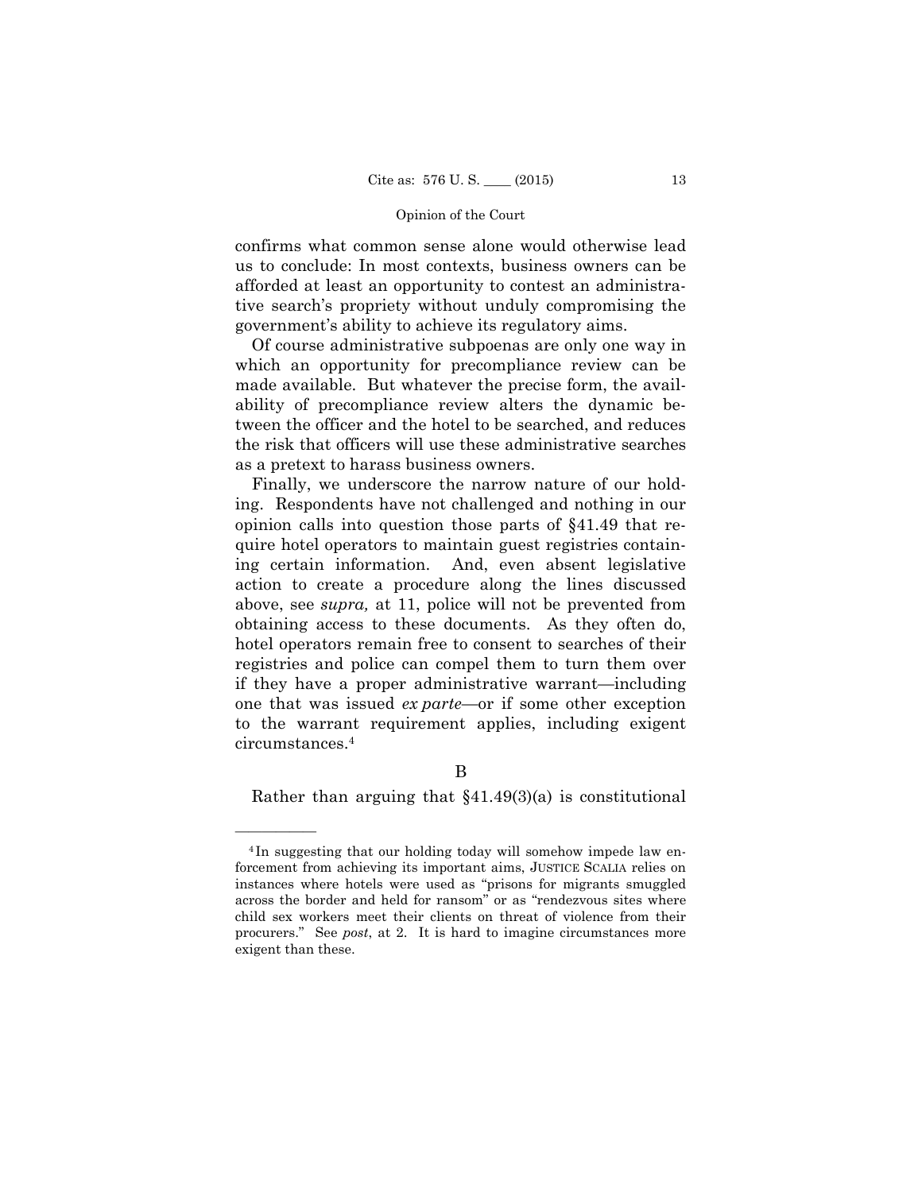confirms what common sense alone would otherwise lead us to conclude: In most contexts, business owners can be afforded at least an opportunity to contest an administrative search's propriety without unduly compromising the government's ability to achieve its regulatory aims.

Of course administrative subpoenas are only one way in which an opportunity for precompliance review can be made available. But whatever the precise form, the availability of precompliance review alters the dynamic between the officer and the hotel to be searched, and reduces the risk that officers will use these administrative searches as a pretext to harass business owners.

 circumstances.4 Finally, we underscore the narrow nature of our holding. Respondents have not challenged and nothing in our opinion calls into question those parts of §41.49 that require hotel operators to maintain guest registries containing certain information. And, even absent legislative action to create a procedure along the lines discussed above, see *supra,* at 11, police will not be prevented from obtaining access to these documents. As they often do, hotel operators remain free to consent to searches of their registries and police can compel them to turn them over if they have a proper administrative warrant—including one that was issued *ex parte*—or if some other exception to the warrant requirement applies, including exigent

——————

Rather than arguing that  $\S41.49(3)(a)$  is constitutional

<sup>4</sup> In suggesting that our holding today will somehow impede law enforcement from achieving its important aims, JUSTICE SCALIA relies on instances where hotels were used as "prisons for migrants smuggled across the border and held for ransom" or as "rendezvous sites where child sex workers meet their clients on threat of violence from their procurers." See *post*, at 2. It is hard to imagine circumstances more exigent than these.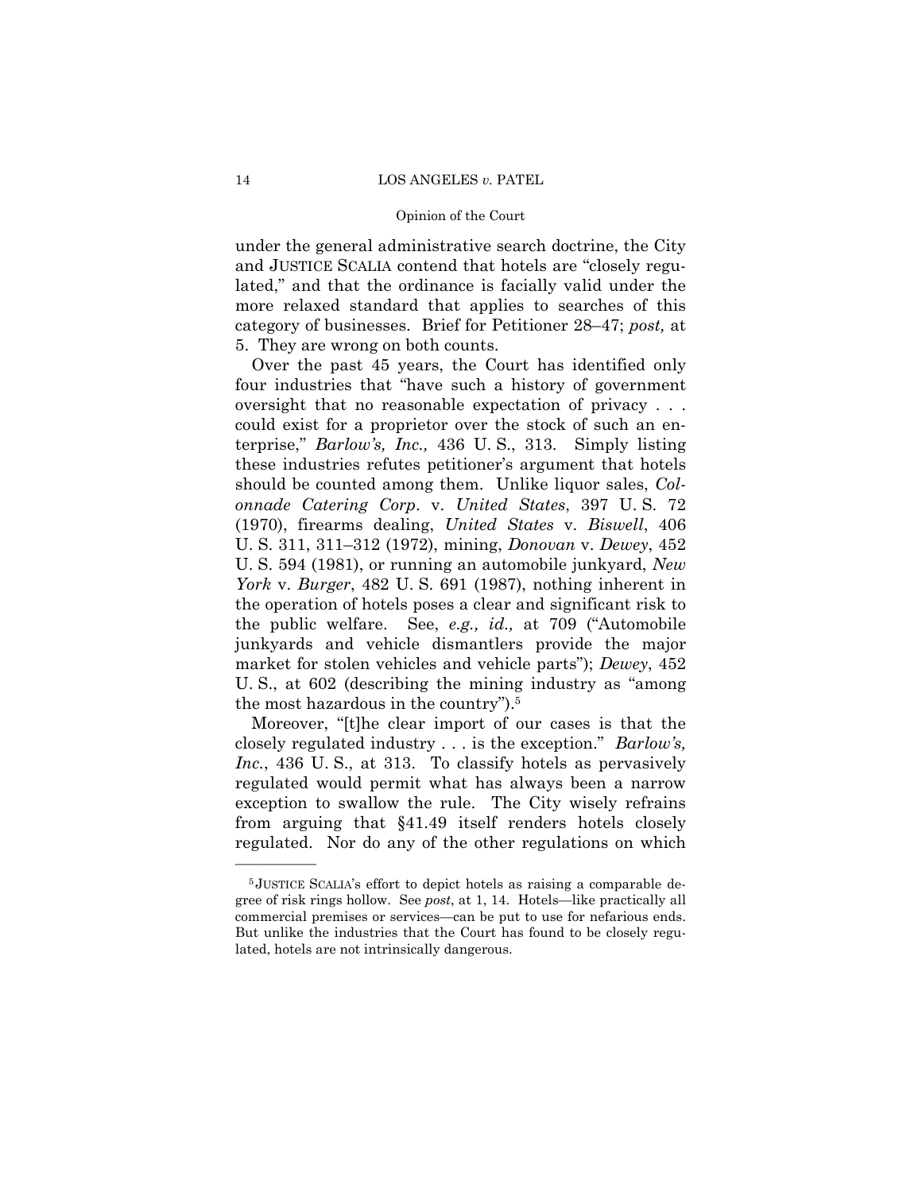under the general administrative search doctrine, the City and JUSTICE SCALIA contend that hotels are "closely regulated," and that the ordinance is facially valid under the more relaxed standard that applies to searches of this category of businesses. Brief for Petitioner 28–47; *post,* at 5. They are wrong on both counts.

 oversight that no reasonable expectation of privacy . . . Over the past 45 years, the Court has identified only four industries that "have such a history of government could exist for a proprietor over the stock of such an enterprise," *Barlow's, Inc.,* 436 U. S., 313. Simply listing these industries refutes petitioner's argument that hotels should be counted among them. Unlike liquor sales, *Colonnade Catering Corp*. v. *United States*, 397 U. S. 72 (1970), firearms dealing, *United States* v. *Biswell*, 406 U. S. 311, 311–312 (1972), mining, *Donovan* v. *Dewey*, 452 U. S. 594 (1981), or running an automobile junkyard, *New York* v. *Burger*, 482 U. S. 691 (1987), nothing inherent in the operation of hotels poses a clear and significant risk to the public welfare. See, *e.g., id.,* at 709 ("Automobile junkyards and vehicle dismantlers provide the major market for stolen vehicles and vehicle parts"); *Dewey*, 452 U. S., at 602 (describing the mining industry as "among the most hazardous in the country").5

Moreover, "[t]he clear import of our cases is that the closely regulated industry . . . is the exception." *Barlow's, Inc.*, 436 U.S., at 313. To classify hotels as pervasively regulated would permit what has always been a narrow exception to swallow the rule. The City wisely refrains from arguing that §41.49 itself renders hotels closely regulated. Nor do any of the other regulations on which

 gree of risk rings hollow. See *post*, at 1, 14. Hotels—like practically all 5 JUSTICE SCALIA's effort to depict hotels as raising a comparable decommercial premises or services—can be put to use for nefarious ends. But unlike the industries that the Court has found to be closely regulated, hotels are not intrinsically dangerous.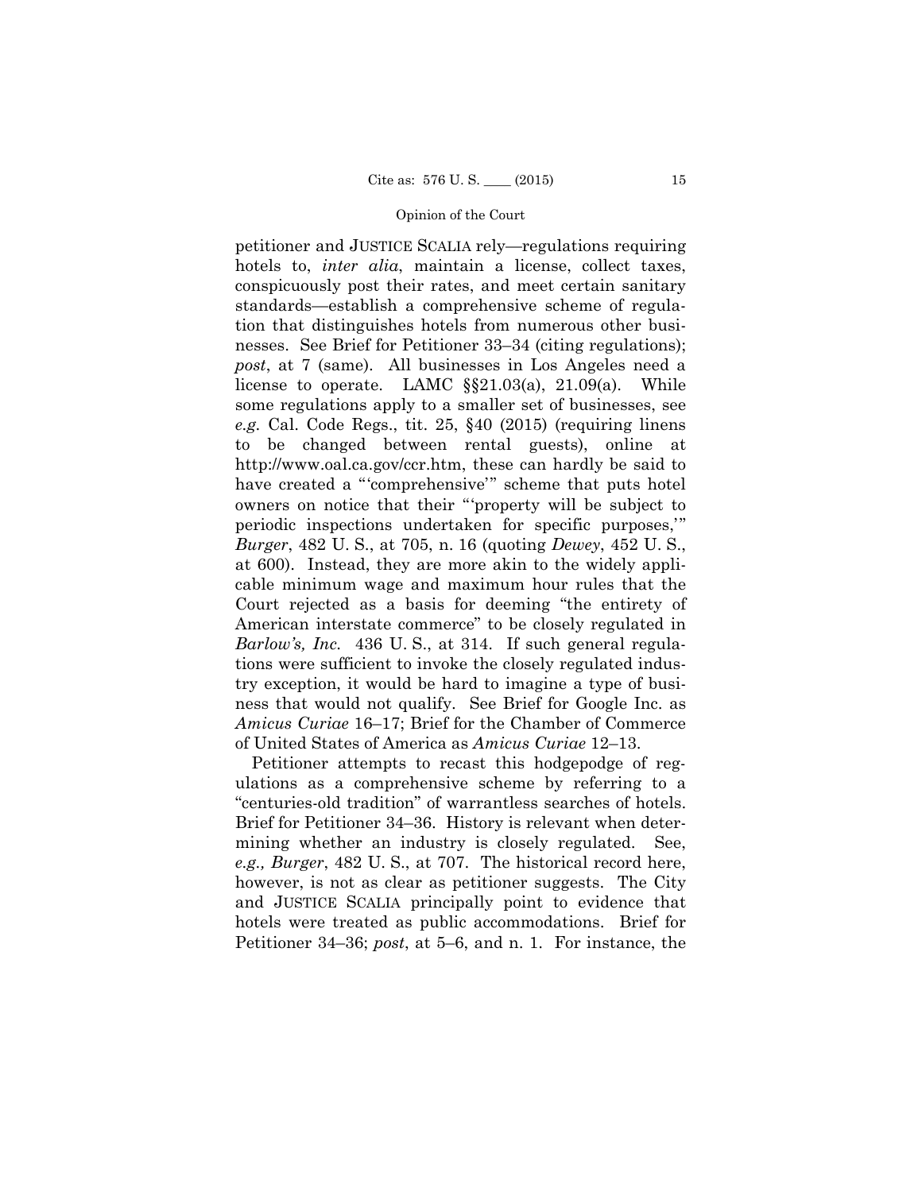*Barlow's, Inc.* 436 U. S., at 314. If such general regulapetitioner and JUSTICE SCALIA rely—regulations requiring hotels to, *inter alia*, maintain a license, collect taxes, conspicuously post their rates, and meet certain sanitary standards—establish a comprehensive scheme of regulation that distinguishes hotels from numerous other businesses. See Brief for Petitioner 33–34 (citing regulations); *post*, at 7 (same). All businesses in Los Angeles need a license to operate. LAMC  $\S$  $21.03(a)$ ,  $21.09(a)$ . While some regulations apply to a smaller set of businesses, see *e.g.* Cal. Code Regs., tit. 25, §40 (2015) (requiring linens to be changed between rental guests), online at http://www.oal.ca.gov/ccr.htm, these can hardly be said to have created a "'comprehensive'" scheme that puts hotel owners on notice that their "'property will be subject to periodic inspections undertaken for specific purposes,'" *Burger*, 482 U. S., at 705, n. 16 (quoting *Dewey*, 452 U. S., at 600). Instead, they are more akin to the widely applicable minimum wage and maximum hour rules that the Court rejected as a basis for deeming "the entirety of American interstate commerce" to be closely regulated in tions were sufficient to invoke the closely regulated industry exception, it would be hard to imagine a type of business that would not qualify. See Brief for Google Inc. as *Amicus Curiae* 16–17; Brief for the Chamber of Commerce of United States of America as *Amicus Curiae* 12–13.

"centuries-old tradition" of warrantless searches of hotels. Petitioner attempts to recast this hodgepodge of regulations as a comprehensive scheme by referring to a Brief for Petitioner 34–36. History is relevant when determining whether an industry is closely regulated. See, *e.g., Burger*, 482 U. S., at 707. The historical record here, however, is not as clear as petitioner suggests. The City and JUSTICE SCALIA principally point to evidence that hotels were treated as public accommodations. Brief for Petitioner 34–36; *post*, at 5–6, and n. 1. For instance, the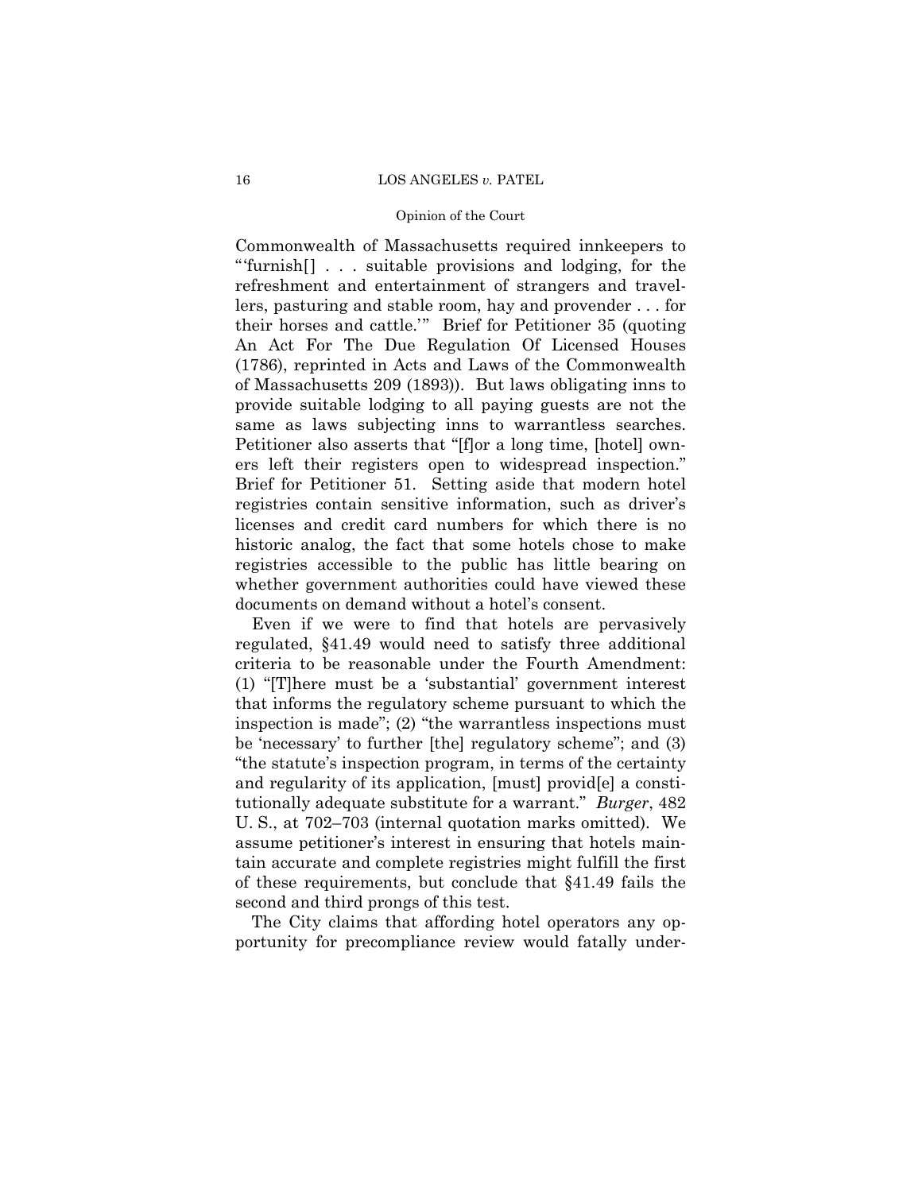#### 16 LOS ANGELES *v.* PATEL

#### Opinion of the Court

Commonwealth of Massachusetts required innkeepers to "'furnish[] . . . suitable provisions and lodging, for the refreshment and entertainment of strangers and travellers, pasturing and stable room, hay and provender . . . for their horses and cattle.'" Brief for Petitioner 35 (quoting An Act For The Due Regulation Of Licensed Houses (1786), reprinted in Acts and Laws of the Commonwealth of Massachusetts 209 (1893)). But laws obligating inns to provide suitable lodging to all paying guests are not the same as laws subjecting inns to warrantless searches. Petitioner also asserts that "[f]or a long time, [hotel] owners left their registers open to widespread inspection." Brief for Petitioner 51. Setting aside that modern hotel registries contain sensitive information, such as driver's licenses and credit card numbers for which there is no historic analog, the fact that some hotels chose to make registries accessible to the public has little bearing on whether government authorities could have viewed these documents on demand without a hotel's consent.

criteria to be reasonable under the Fourth Amendment: Even if we were to find that hotels are pervasively regulated, §41.49 would need to satisfy three additional (1) "[T]here must be a 'substantial' government interest that informs the regulatory scheme pursuant to which the inspection is made"; (2) "the warrantless inspections must be 'necessary' to further [the] regulatory scheme"; and (3) "the statute's inspection program, in terms of the certainty and regularity of its application, [must] provid[e] a constitutionally adequate substitute for a warrant." *Burger*, 482 U. S., at 702–703 (internal quotation marks omitted). We assume petitioner's interest in ensuring that hotels maintain accurate and complete registries might fulfill the first of these requirements, but conclude that §41.49 fails the second and third prongs of this test.

The City claims that affording hotel operators any opportunity for precompliance review would fatally under-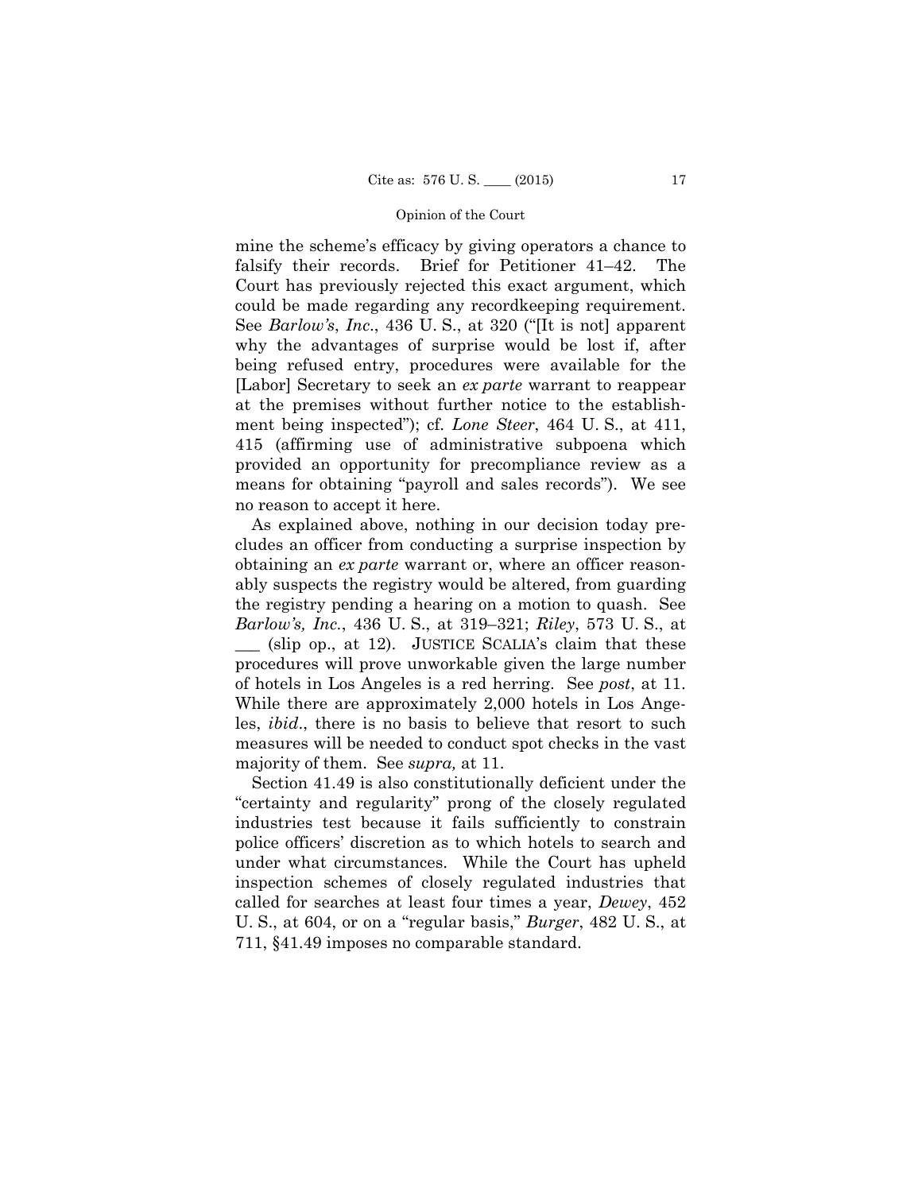mine the scheme's efficacy by giving operators a chance to falsify their records. Brief for Petitioner 41–42. The Court has previously rejected this exact argument, which could be made regarding any recordkeeping requirement. See *Barlow's*, *Inc*., 436 U. S., at 320 ("[It is not] apparent why the advantages of surprise would be lost if, after being refused entry, procedures were available for the [Labor] Secretary to seek an *ex parte* warrant to reappear at the premises without further notice to the establishment being inspected"); cf. *Lone Steer*, 464 U. S., at 411, 415 (affirming use of administrative subpoena which provided an opportunity for precompliance review as a means for obtaining "payroll and sales records"). We see no reason to accept it here.

As explained above, nothing in our decision today precludes an officer from conducting a surprise inspection by obtaining an *ex parte* warrant or, where an officer reasonably suspects the registry would be altered, from guarding the registry pending a hearing on a motion to quash. See *Barlow's, Inc.*, 436 U. S., at 319–321; *Riley*, 573 U. S., at \_\_\_ (slip op., at 12). JUSTICE SCALIA's claim that these procedures will prove unworkable given the large number of hotels in Los Angeles is a red herring. See *post*, at 11. While there are approximately 2,000 hotels in Los Angeles, *ibid*., there is no basis to believe that resort to such measures will be needed to conduct spot checks in the vast majority of them. See *supra,* at 11.

Section 41.49 is also constitutionally deficient under the "certainty and regularity" prong of the closely regulated industries test because it fails sufficiently to constrain police officers' discretion as to which hotels to search and under what circumstances. While the Court has upheld inspection schemes of closely regulated industries that called for searches at least four times a year, *Dewey*, 452 U. S., at 604, or on a "regular basis," *Burger*, 482 U. S., at 711, §41.49 imposes no comparable standard.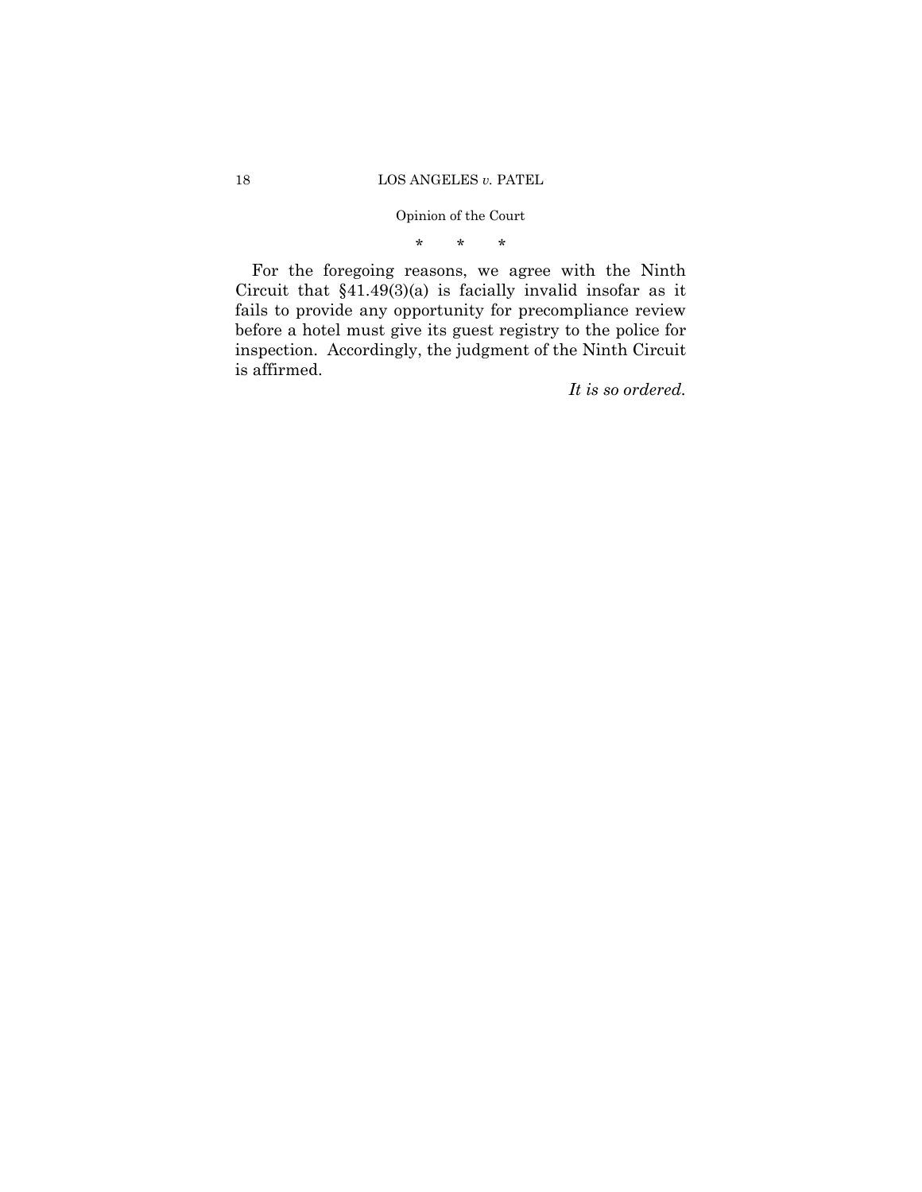\* \* \*

For the foregoing reasons, we agree with the Ninth Circuit that §41.49(3)(a) is facially invalid insofar as it fails to provide any opportunity for precompliance review before a hotel must give its guest registry to the police for inspection. Accordingly, the judgment of the Ninth Circuit is affirmed.

*It is so ordered.*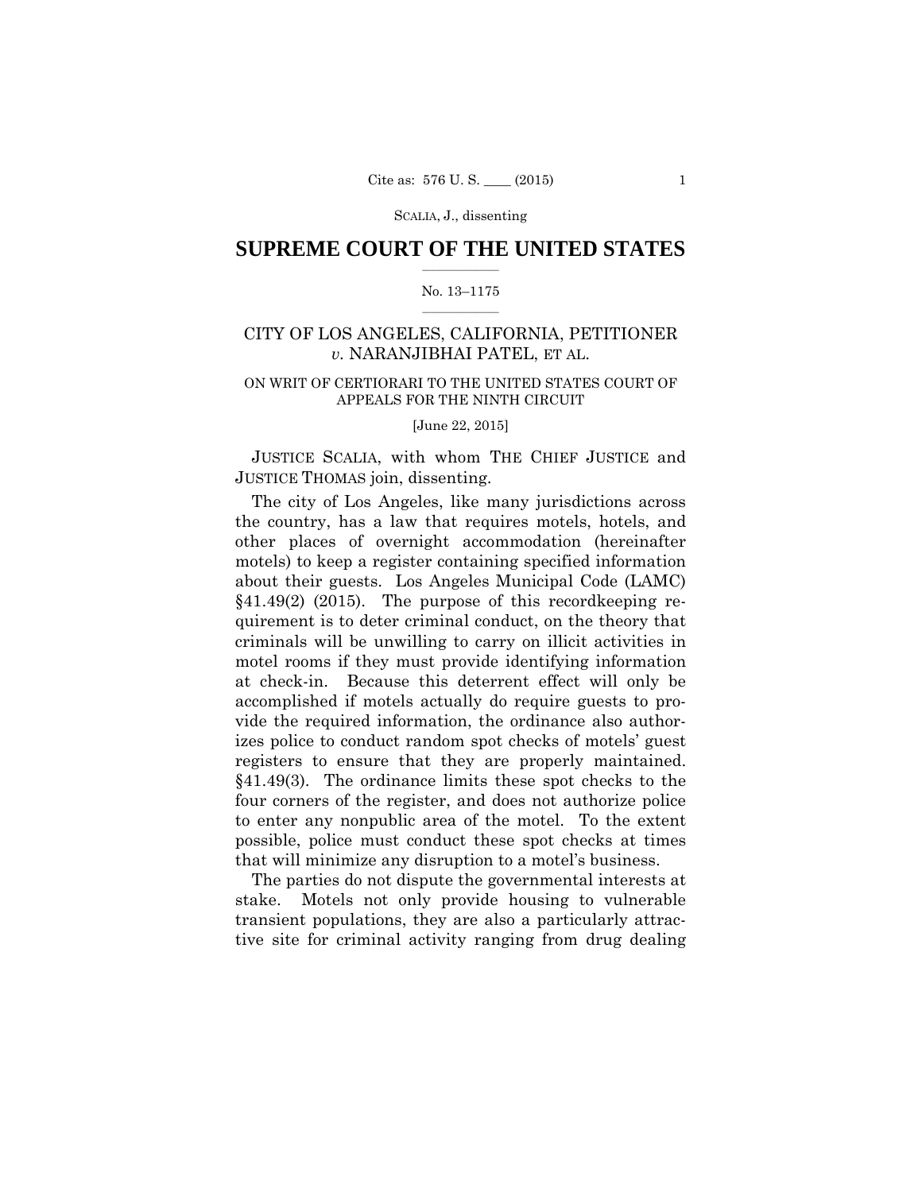### $\frac{1}{2}$  ,  $\frac{1}{2}$  ,  $\frac{1}{2}$  ,  $\frac{1}{2}$  ,  $\frac{1}{2}$  ,  $\frac{1}{2}$  ,  $\frac{1}{2}$ **SUPREME COURT OF THE UNITED STATES**

#### $\frac{1}{2}$  ,  $\frac{1}{2}$  ,  $\frac{1}{2}$  ,  $\frac{1}{2}$  ,  $\frac{1}{2}$  ,  $\frac{1}{2}$ No. 13–1175

# CITY OF LOS ANGELES, CALIFORNIA, PETITIONER *v.* NARANJIBHAI PATEL, ET AL.

# ON WRIT OF CERTIORARI TO THE UNITED STATES COURT OF APPEALS FOR THE NINTH CIRCUIT

[June 22, 2015]

JUSTICE SCALIA, with whom THE CHIEF JUSTICE and JUSTICE THOMAS join, dissenting.

The city of Los Angeles, like many jurisdictions across the country, has a law that requires motels, hotels, and other places of overnight accommodation (hereinafter motels) to keep a register containing specified information about their guests. Los Angeles Municipal Code (LAMC) §41.49(2) (2015). The purpose of this recordkeeping requirement is to deter criminal conduct, on the theory that criminals will be unwilling to carry on illicit activities in motel rooms if they must provide identifying information at check-in. Because this deterrent effect will only be accomplished if motels actually do require guests to provide the required information, the ordinance also authorizes police to conduct random spot checks of motels' guest registers to ensure that they are properly maintained. §41.49(3). The ordinance limits these spot checks to the four corners of the register, and does not authorize police to enter any nonpublic area of the motel. To the extent possible, police must conduct these spot checks at times that will minimize any disruption to a motel's business.

The parties do not dispute the governmental interests at stake. Motels not only provide housing to vulnerable transient populations, they are also a particularly attractive site for criminal activity ranging from drug dealing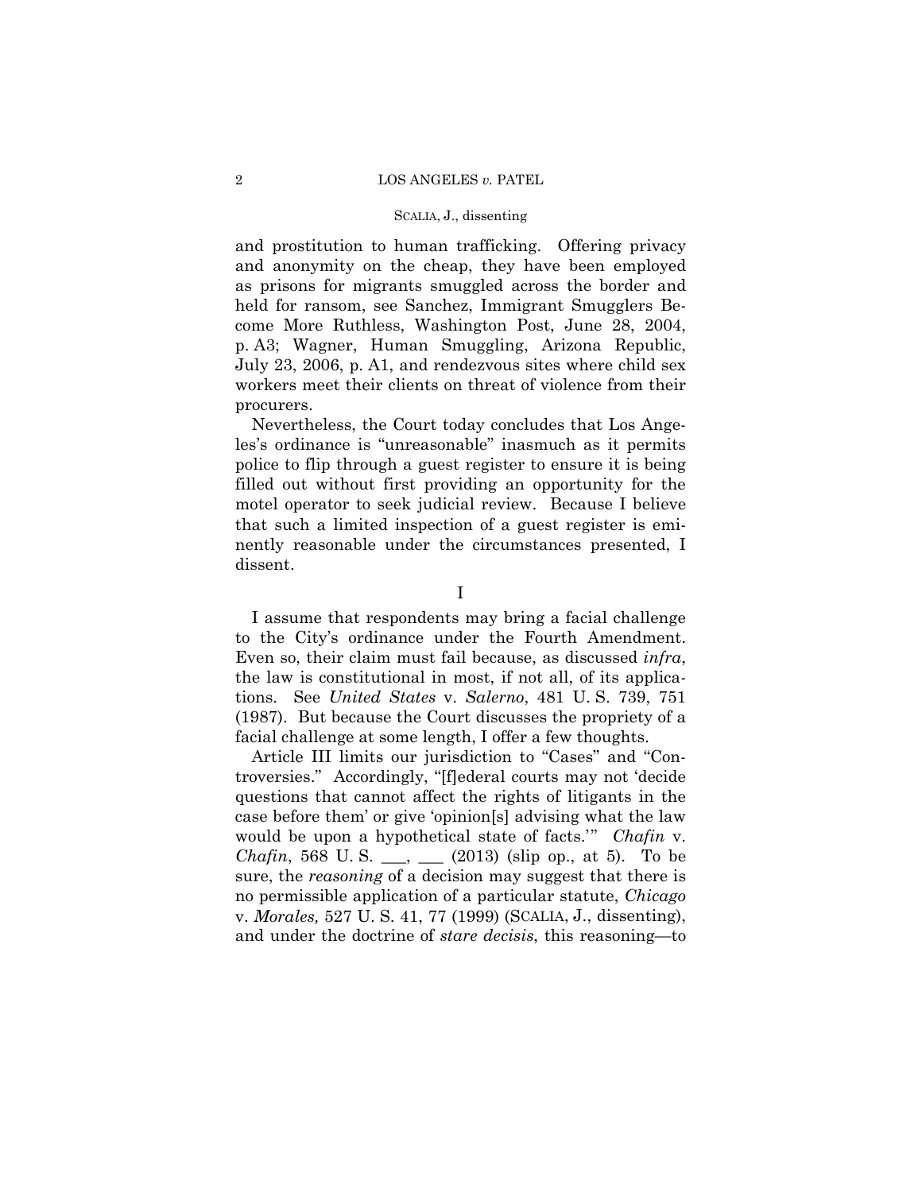and prostitution to human trafficking. Offering privacy and anonymity on the cheap, they have been employed as prisons for migrants smuggled across the border and held for ransom, see Sanchez, Immigrant Smugglers Become More Ruthless, Washington Post, June 28, 2004, p. A3; Wagner, Human Smuggling, Arizona Republic, July 23, 2006, p. A1, and rendezvous sites where child sex workers meet their clients on threat of violence from their procurers.

Nevertheless, the Court today concludes that Los Angeles's ordinance is "unreasonable" inasmuch as it permits police to flip through a guest register to ensure it is being filled out without first providing an opportunity for the motel operator to seek judicial review. Because I believe that such a limited inspection of a guest register is eminently reasonable under the circumstances presented, I dissent.

I

I assume that respondents may bring a facial challenge to the City's ordinance under the Fourth Amendment. Even so, their claim must fail because, as discussed *infra*, the law is constitutional in most, if not all, of its applications. See *United States* v. *Salerno*, 481 U. S. 739, 751 (1987). But because the Court discusses the propriety of a facial challenge at some length, I offer a few thoughts.

Article III limits our jurisdiction to "Cases" and "Controversies." Accordingly, "[f]ederal courts may not 'decide questions that cannot affect the rights of litigants in the case before them' or give 'opinion[s] advising what the law would be upon a hypothetical state of facts.'" *Chafin* v. *Chafin*, 568 U.S. \_\_, \_\_ (2013) (slip op., at 5). To be sure, the *reasoning* of a decision may suggest that there is no permissible application of a particular statute, *Chicago*  v. *Morales,* 527 U. S. 41, 77 (1999) (SCALIA, J., dissenting), and under the doctrine of *stare decisis*, this reasoning—to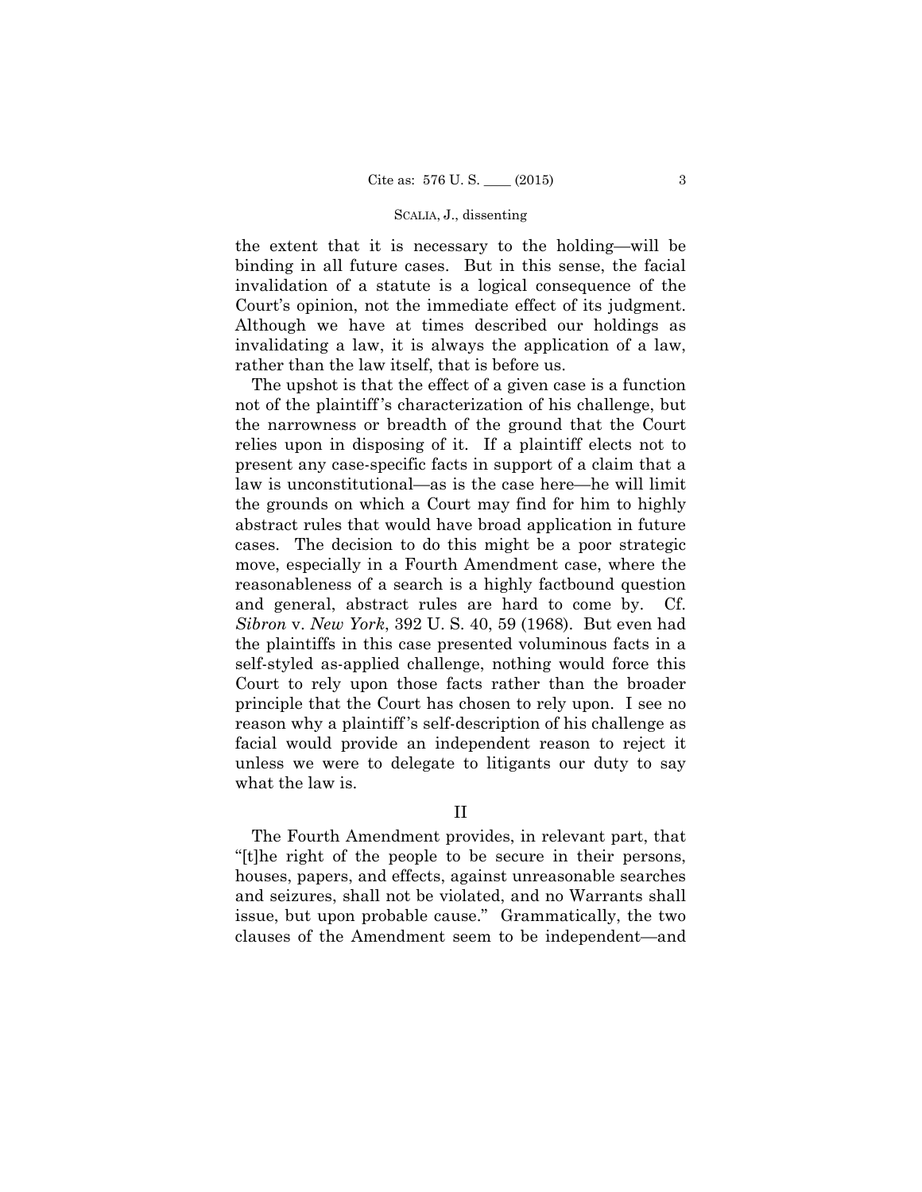the extent that it is necessary to the holding—will be binding in all future cases. But in this sense, the facial invalidation of a statute is a logical consequence of the Court's opinion, not the immediate effect of its judgment. Although we have at times described our holdings as invalidating a law, it is always the application of a law, rather than the law itself, that is before us.

The upshot is that the effect of a given case is a function not of the plaintiff 's characterization of his challenge, but the narrowness or breadth of the ground that the Court relies upon in disposing of it. If a plaintiff elects not to present any case-specific facts in support of a claim that a law is unconstitutional—as is the case here—he will limit the grounds on which a Court may find for him to highly abstract rules that would have broad application in future cases. The decision to do this might be a poor strategic move, especially in a Fourth Amendment case, where the reasonableness of a search is a highly factbound question and general, abstract rules are hard to come by. Cf. *Sibron* v. *New York*, 392 U. S. 40, 59 (1968). But even had the plaintiffs in this case presented voluminous facts in a self-styled as-applied challenge, nothing would force this Court to rely upon those facts rather than the broader principle that the Court has chosen to rely upon. I see no reason why a plaintiff 's self-description of his challenge as facial would provide an independent reason to reject it unless we were to delegate to litigants our duty to say what the law is.

# II

The Fourth Amendment provides, in relevant part, that "[t]he right of the people to be secure in their persons, houses, papers, and effects, against unreasonable searches and seizures, shall not be violated, and no Warrants shall issue, but upon probable cause." Grammatically, the two clauses of the Amendment seem to be independent—and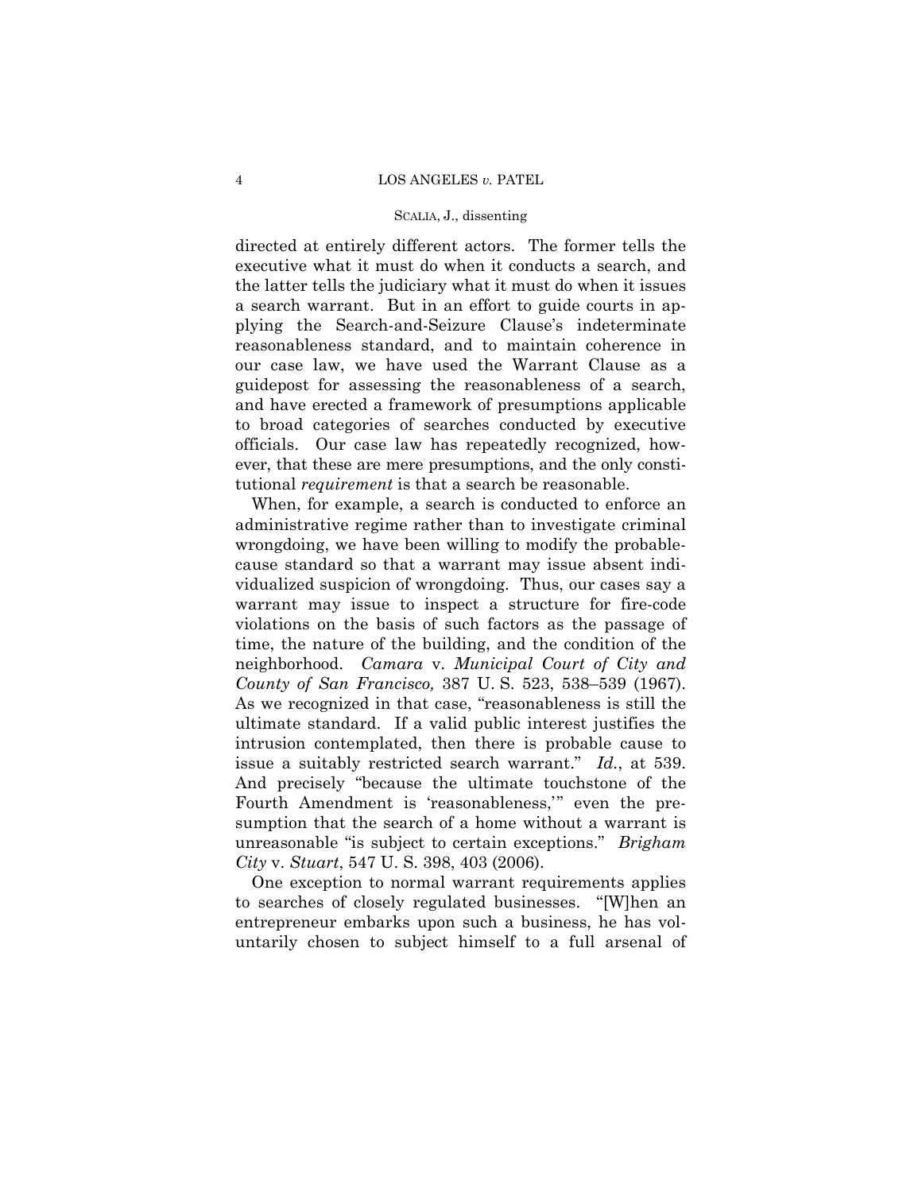directed at entirely different actors. The former tells the executive what it must do when it conducts a search, and the latter tells the judiciary what it must do when it issues a search warrant. But in an effort to guide courts in applying the Search-and-Seizure Clause's indeterminate reasonableness standard, and to maintain coherence in our case law, we have used the Warrant Clause as a guidepost for assessing the reasonableness of a search, and have erected a framework of presumptions applicable to broad categories of searches conducted by executive officials. Our case law has repeatedly recognized, however, that these are mere presumptions, and the only constitutional *requirement* is that a search be reasonable.

When, for example, a search is conducted to enforce an administrative regime rather than to investigate criminal wrongdoing, we have been willing to modify the probablecause standard so that a warrant may issue absent individualized suspicion of wrongdoing. Thus, our cases say a warrant may issue to inspect a structure for fire-code violations on the basis of such factors as the passage of time, the nature of the building, and the condition of the neighborhood. *Camara* v. *Municipal Court of City and County of San Francisco,* 387 U. S. 523, 538–539 (1967). As we recognized in that case, "reasonableness is still the ultimate standard. If a valid public interest justifies the intrusion contemplated, then there is probable cause to issue a suitably restricted search warrant." *Id.*, at 539. And precisely "because the ultimate touchstone of the Fourth Amendment is 'reasonableness,'" even the presumption that the search of a home without a warrant is unreasonable "is subject to certain exceptions." *Brigham City* v. *Stuart*, 547 U. S. 398, 403 (2006).

One exception to normal warrant requirements applies to searches of closely regulated businesses. "[W]hen an entrepreneur embarks upon such a business, he has voluntarily chosen to subject himself to a full arsenal of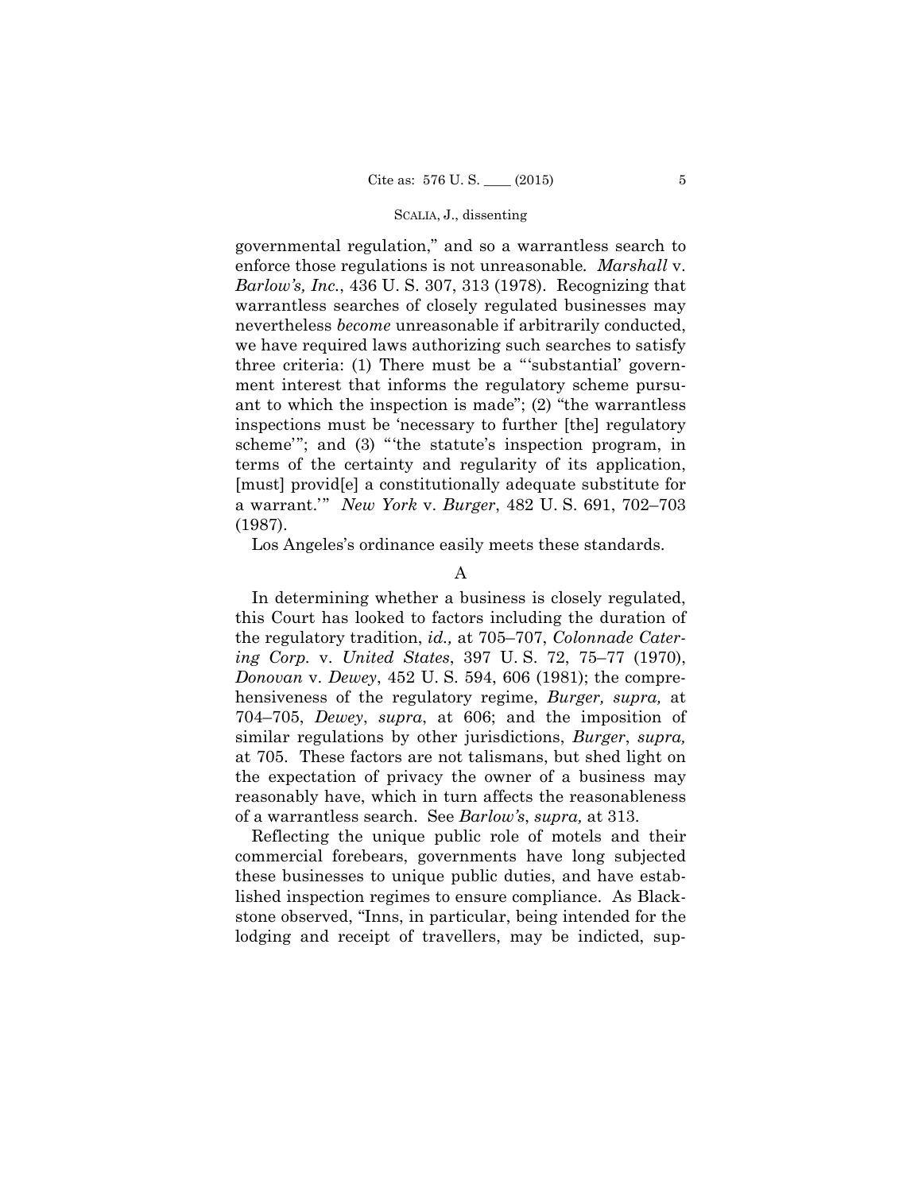governmental regulation," and so a warrantless search to enforce those regulations is not unreasonable*. Marshall* v. *Barlow's, Inc.*, 436 U. S. 307, 313 (1978). Recognizing that warrantless searches of closely regulated businesses may nevertheless *become* unreasonable if arbitrarily conducted, we have required laws authorizing such searches to satisfy three criteria: (1) There must be a "'substantial' government interest that informs the regulatory scheme pursuant to which the inspection is made"; (2) "the warrantless inspections must be 'necessary to further [the] regulatory scheme'"; and (3) "'the statute's inspection program, in terms of the certainty and regularity of its application, [must] provid[e] a constitutionally adequate substitute for a warrant.'" *New York* v. *Burger*, 482 U. S. 691, 702–703 (1987).

Los Angeles's ordinance easily meets these standards.

In determining whether a business is closely regulated, this Court has looked to factors including the duration of the regulatory tradition, *id.,* at 705–707, *Colonnade Catering Corp.* v. *United States*, 397 U. S. 72, 75–77 (1970), *Donovan* v. *Dewey*, 452 U. S. 594, 606 (1981); the comprehensiveness of the regulatory regime, *Burger, supra,* at 704–705, *Dewey*, *supra*, at 606; and the imposition of similar regulations by other jurisdictions, *Burger*, *supra,*  at 705. These factors are not talismans, but shed light on the expectation of privacy the owner of a business may reasonably have, which in turn affects the reasonableness of a warrantless search. See *Barlow's*, *supra,* at 313.

Reflecting the unique public role of motels and their commercial forebears, governments have long subjected these businesses to unique public duties, and have established inspection regimes to ensure compliance. As Blackstone observed, "Inns, in particular, being intended for the lodging and receipt of travellers, may be indicted, sup-

A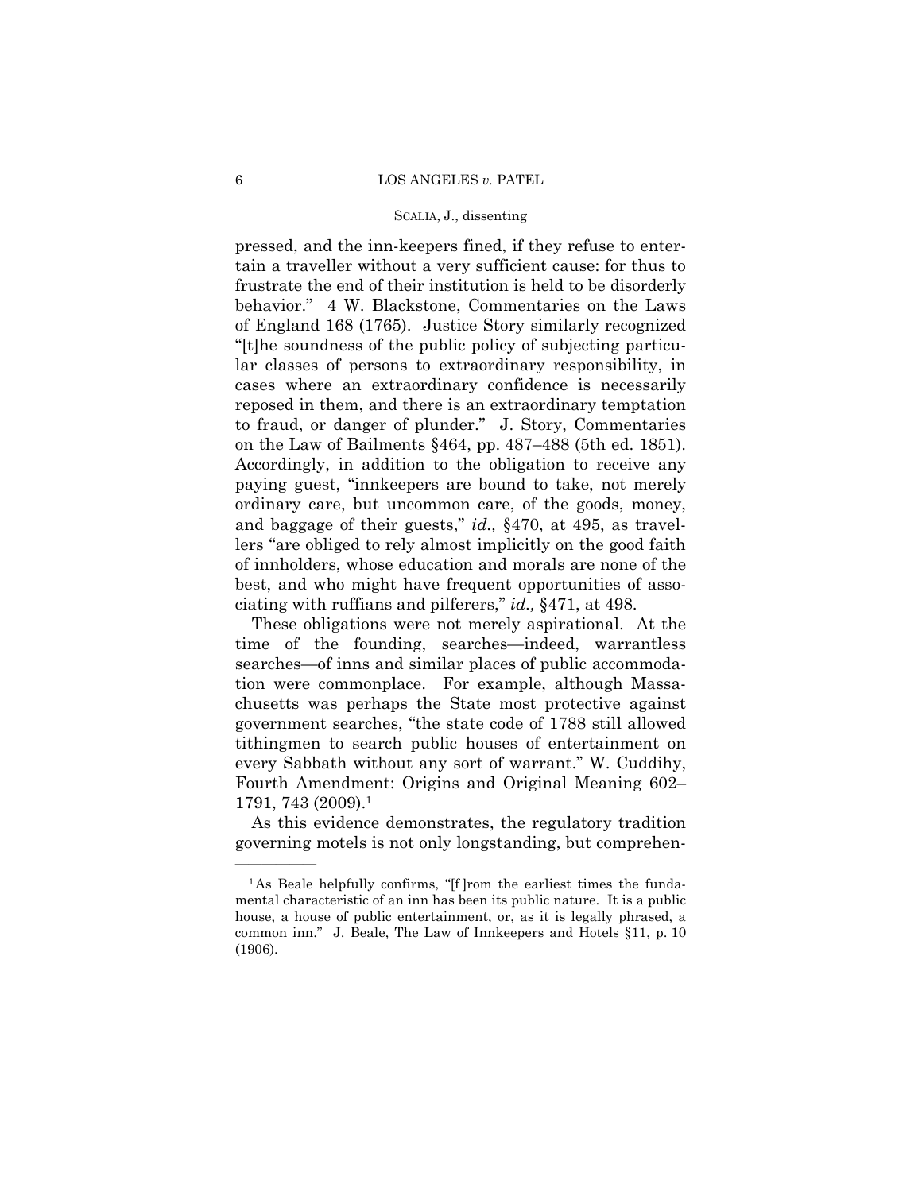pressed, and the inn-keepers fined, if they refuse to entertain a traveller without a very sufficient cause: for thus to frustrate the end of their institution is held to be disorderly behavior." 4 W. Blackstone, Commentaries on the Laws of England 168 (1765). Justice Story similarly recognized "[t]he soundness of the public policy of subjecting particular classes of persons to extraordinary responsibility, in cases where an extraordinary confidence is necessarily reposed in them, and there is an extraordinary temptation to fraud, or danger of plunder." J. Story, Commentaries on the Law of Bailments §464, pp. 487–488 (5th ed. 1851). Accordingly, in addition to the obligation to receive any paying guest, "innkeepers are bound to take, not merely ordinary care, but uncommon care, of the goods, money, and baggage of their guests," *id.,* §470, at 495, as travellers "are obliged to rely almost implicitly on the good faith of innholders, whose education and morals are none of the best, and who might have frequent opportunities of associating with ruffians and pilferers," *id.,* §471, at 498.

These obligations were not merely aspirational. At the time of the founding, searches—indeed, warrantless searches—of inns and similar places of public accommodation were commonplace. For example, although Massachusetts was perhaps the State most protective against government searches, "the state code of 1788 still allowed tithingmen to search public houses of entertainment on every Sabbath without any sort of warrant." W. Cuddihy, Fourth Amendment: Origins and Original Meaning 602– 1791, 743 (2009).1

As this evidence demonstrates, the regulatory tradition governing motels is not only longstanding, but comprehen-

<sup>&</sup>lt;sup>1</sup>As Beale helpfully confirms, "[f] rom the earliest times the fundamental characteristic of an inn has been its public nature. It is a public house, a house of public entertainment, or, as it is legally phrased, a common inn." J. Beale, The Law of Innkeepers and Hotels §11, p. 10 (1906).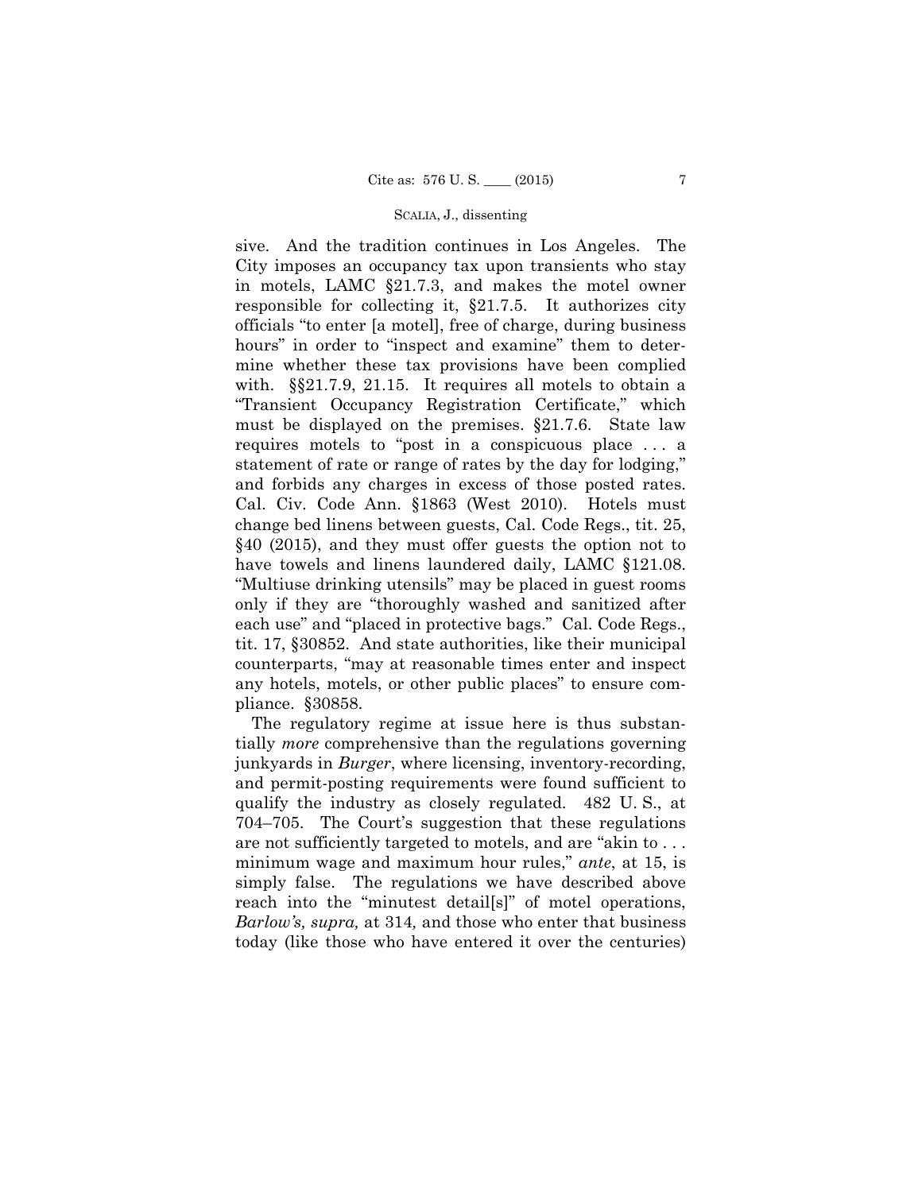with. §§21.7.9, 21.15. It requires all motels to obtain a requires motels to "post in a conspicuous place . . . a sive. And the tradition continues in Los Angeles. The City imposes an occupancy tax upon transients who stay in motels, LAMC §21.7.3, and makes the motel owner responsible for collecting it, §21.7.5. It authorizes city officials "to enter [a motel], free of charge, during business hours" in order to "inspect and examine" them to determine whether these tax provisions have been complied "Transient Occupancy Registration Certificate," which must be displayed on the premises. §21.7.6. State law statement of rate or range of rates by the day for lodging," and forbids any charges in excess of those posted rates. Cal. Civ. Code Ann. §1863 (West 2010). Hotels must change bed linens between guests, Cal. Code Regs., tit. 25, §40 (2015), and they must offer guests the option not to have towels and linens laundered daily, LAMC §121.08. "Multiuse drinking utensils" may be placed in guest rooms only if they are "thoroughly washed and sanitized after each use" and "placed in protective bags." Cal. Code Regs., tit. 17, §30852. And state authorities, like their municipal counterparts, "may at reasonable times enter and inspect any hotels, motels, or other public places" to ensure compliance. §30858.

The regulatory regime at issue here is thus substantially *more* comprehensive than the regulations governing junkyards in *Burger*, where licensing, inventory-recording, and permit-posting requirements were found sufficient to qualify the industry as closely regulated. 482 U. S., at 704–705. The Court's suggestion that these regulations are not sufficiently targeted to motels, and are "akin to . . . minimum wage and maximum hour rules," *ante*, at 15, is simply false. The regulations we have described above reach into the "minutest detail<sup>[s]"</sup> of motel operations, *Barlow's, supra,* at 314*,* and those who enter that business today (like those who have entered it over the centuries)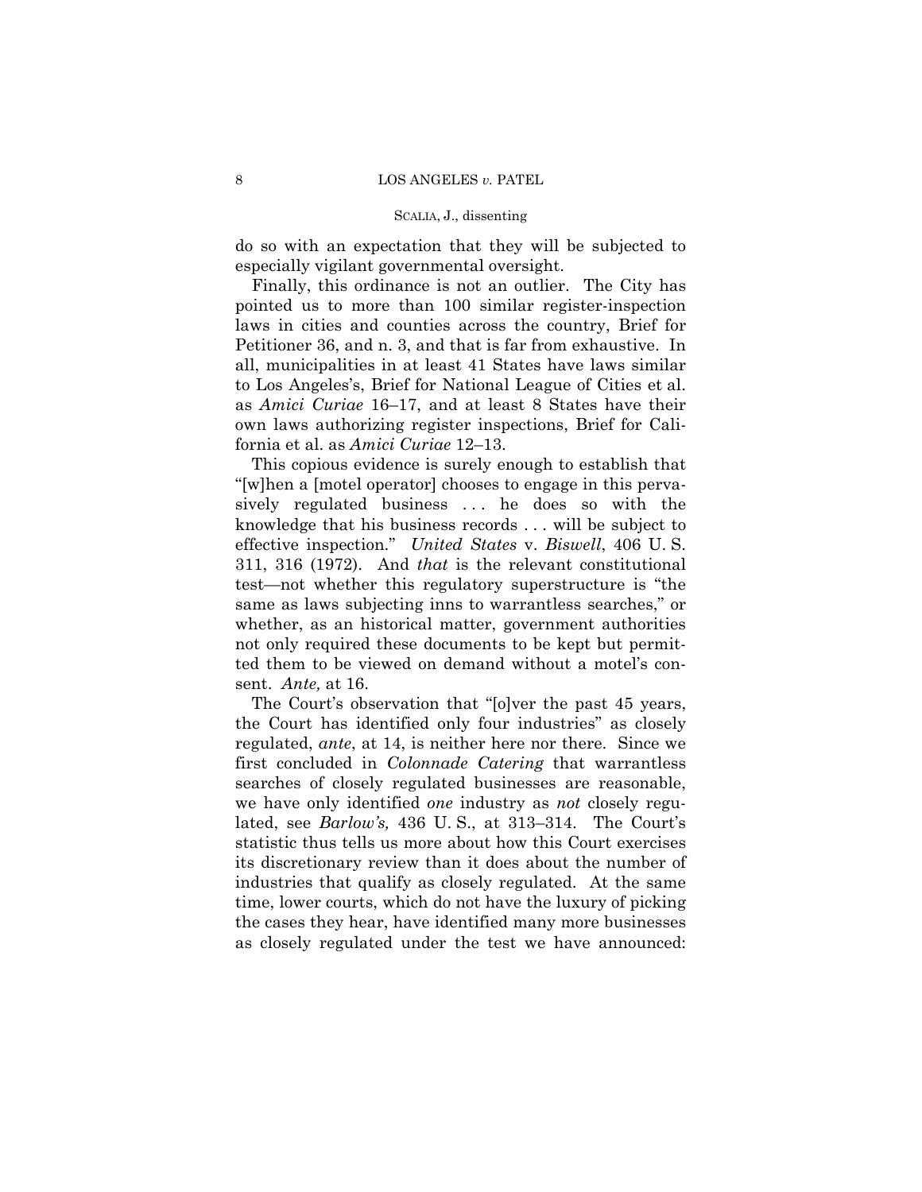do so with an expectation that they will be subjected to especially vigilant governmental oversight.

Finally, this ordinance is not an outlier. The City has pointed us to more than 100 similar register-inspection laws in cities and counties across the country, Brief for Petitioner 36, and n. 3, and that is far from exhaustive. In all, municipalities in at least 41 States have laws similar to Los Angeles's, Brief for National League of Cities et al. as *Amici Curiae* 16–17, and at least 8 States have their own laws authorizing register inspections, Brief for California et al. as *Amici Curiae* 12–13.

This copious evidence is surely enough to establish that "[w]hen a [motel operator] chooses to engage in this pervasively regulated business ... he does so with the knowledge that his business records . . . will be subject to effective inspection." *United States* v. *Biswell*, 406 U. S. 311, 316 (1972). And *that* is the relevant constitutional test—not whether this regulatory superstructure is "the same as laws subjecting inns to warrantless searches," or whether, as an historical matter, government authorities not only required these documents to be kept but permitted them to be viewed on demand without a motel's consent. *Ante,* at 16.

The Court's observation that "[o]ver the past 45 years, the Court has identified only four industries" as closely regulated, *ante*, at 14, is neither here nor there. Since we first concluded in *Colonnade Catering* that warrantless searches of closely regulated businesses are reasonable, we have only identified *one* industry as *not* closely regulated, see *Barlow's,* 436 U. S., at 313–314. The Court's statistic thus tells us more about how this Court exercises its discretionary review than it does about the number of industries that qualify as closely regulated. At the same time, lower courts, which do not have the luxury of picking the cases they hear, have identified many more businesses as closely regulated under the test we have announced: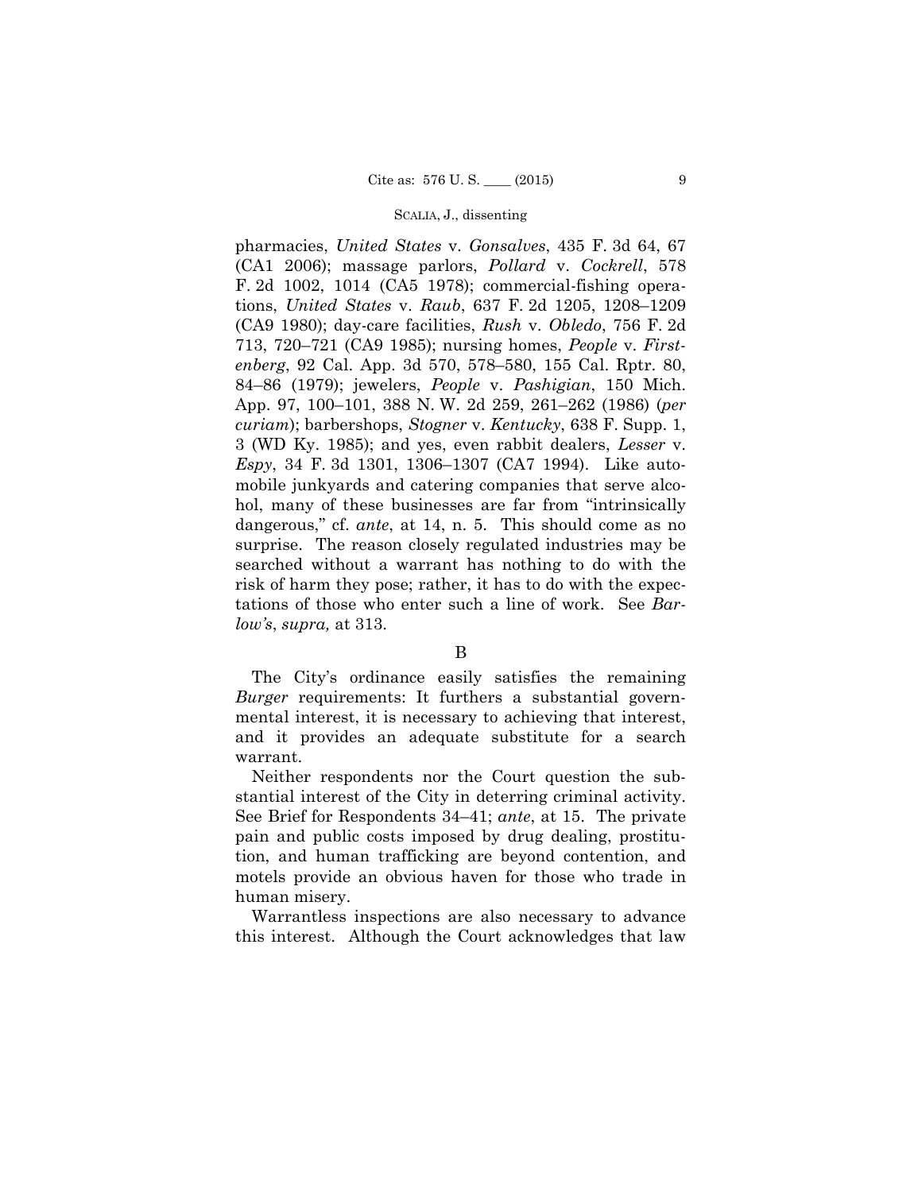pharmacies, *United States* v. *Gonsalves*, 435 F. 3d 64, 67 (CA1 2006); massage parlors, *Pollard* v. *Cockrell*, 578 F. 2d 1002, 1014 (CA5 1978); commercial-fishing operations, *United States* v. *Raub*, 637 F. 2d 1205, 1208–1209 (CA9 1980); day-care facilities, *Rush* v. *Obledo*, 756 F. 2d 713, 720–721 (CA9 1985); nursing homes, *People* v. *Firstenberg*, 92 Cal. App. 3d 570, 578–580, 155 Cal. Rptr. 80, 84–86 (1979); jewelers, *People* v. *Pashigian*, 150 Mich. App. 97, 100–101, 388 N. W. 2d 259, 261–262 (1986) (*per curiam*); barbershops, *Stogner* v. *Kentucky*, 638 F. Supp. 1, 3 (WD Ky. 1985); and yes, even rabbit dealers, *Lesser* v. *Espy*, 34 F. 3d 1301, 1306–1307 (CA7 1994). Like automobile junkyards and catering companies that serve alcohol, many of these businesses are far from "intrinsically dangerous," cf. *ante*, at 14, n. 5. This should come as no surprise. The reason closely regulated industries may be searched without a warrant has nothing to do with the risk of harm they pose; rather, it has to do with the expectations of those who enter such a line of work. See *Barlow's*, *supra,* at 313.

The City's ordinance easily satisfies the remaining *Burger* requirements: It furthers a substantial governmental interest, it is necessary to achieving that interest, and it provides an adequate substitute for a search warrant.

Neither respondents nor the Court question the substantial interest of the City in deterring criminal activity. See Brief for Respondents 34–41; *ante*, at 15. The private pain and public costs imposed by drug dealing, prostitution, and human trafficking are beyond contention, and motels provide an obvious haven for those who trade in human misery.

Warrantless inspections are also necessary to advance this interest. Although the Court acknowledges that law

B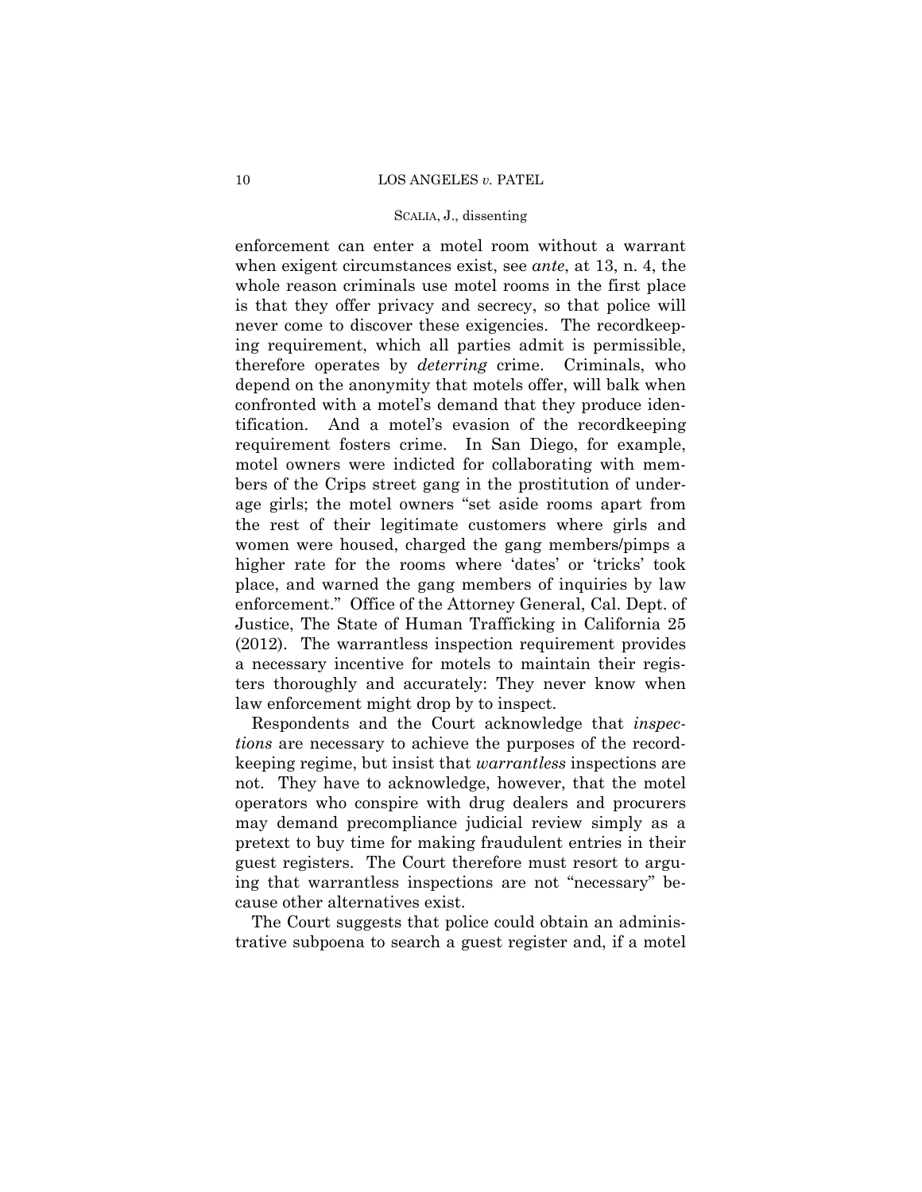enforcement can enter a motel room without a warrant when exigent circumstances exist, see *ante*, at 13, n. 4, the whole reason criminals use motel rooms in the first place is that they offer privacy and secrecy, so that police will never come to discover these exigencies. The recordkeeping requirement, which all parties admit is permissible, therefore operates by *deterring* crime. Criminals, who depend on the anonymity that motels offer, will balk when confronted with a motel's demand that they produce identification. And a motel's evasion of the recordkeeping requirement fosters crime. In San Diego, for example, motel owners were indicted for collaborating with members of the Crips street gang in the prostitution of underage girls; the motel owners "set aside rooms apart from the rest of their legitimate customers where girls and women were housed, charged the gang members/pimps a higher rate for the rooms where 'dates' or 'tricks' took place, and warned the gang members of inquiries by law enforcement." Office of the Attorney General, Cal. Dept. of Justice, The State of Human Trafficking in California 25 (2012). The warrantless inspection requirement provides a necessary incentive for motels to maintain their registers thoroughly and accurately: They never know when law enforcement might drop by to inspect.

Respondents and the Court acknowledge that *inspections* are necessary to achieve the purposes of the recordkeeping regime, but insist that *warrantless* inspections are not. They have to acknowledge, however, that the motel operators who conspire with drug dealers and procurers may demand precompliance judicial review simply as a pretext to buy time for making fraudulent entries in their guest registers. The Court therefore must resort to arguing that warrantless inspections are not "necessary" because other alternatives exist.

The Court suggests that police could obtain an administrative subpoena to search a guest register and, if a motel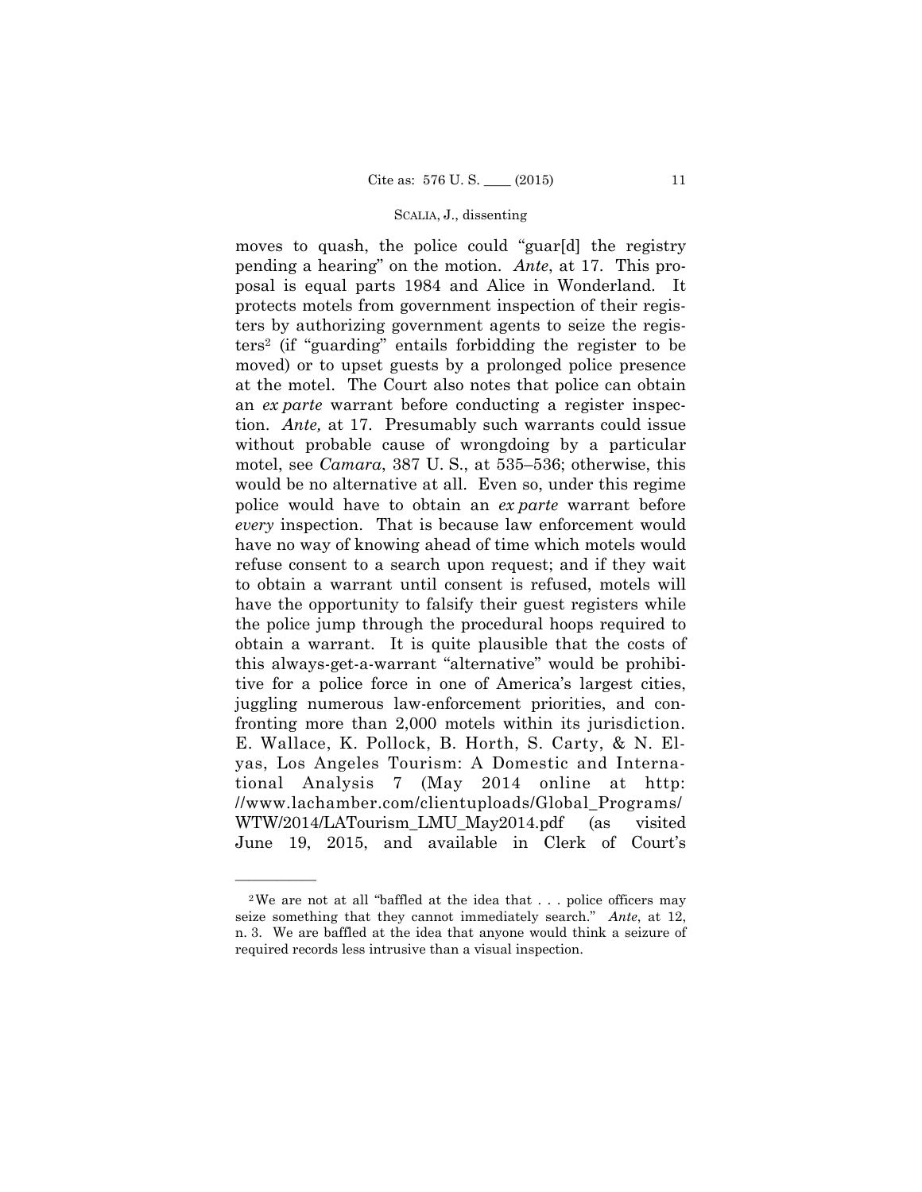moves to quash, the police could "guar[d] the registry pending a hearing" on the motion. *Ante*, at 17. This proposal is equal parts 1984 and Alice in Wonderland. It protects motels from government inspection of their registers by authorizing government agents to seize the registers2 (if "guarding" entails forbidding the register to be moved) or to upset guests by a prolonged police presence at the motel. The Court also notes that police can obtain an *ex parte* warrant before conducting a register inspection. *Ante,* at 17. Presumably such warrants could issue without probable cause of wrongdoing by a particular motel, see *Camara*, 387 U. S., at 535–536; otherwise, this would be no alternative at all. Even so, under this regime police would have to obtain an *ex parte* warrant before *every* inspection. That is because law enforcement would have no way of knowing ahead of time which motels would refuse consent to a search upon request; and if they wait to obtain a warrant until consent is refused, motels will have the opportunity to falsify their guest registers while the police jump through the procedural hoops required to obtain a warrant. It is quite plausible that the costs of this always-get-a-warrant "alternative" would be prohibitive for a police force in one of America's largest cities, juggling numerous law-enforcement priorities, and confronting more than 2,000 motels within its jurisdiction. E. Wallace, K. Pollock, B. Horth, S. Carty, & N. Elyas, Los Angeles Tourism: A Domestic and International Analysis 7 (May 2014 online at http: //www.lachamber.com/clientuploads/Global\_Programs/ WTW/2014/LATourism\_LMU\_May2014.pdf (as visited June 19, 2015, and available in Clerk of Court's

 seize something that they cannot immediately search." *Ante*, at 12, 2We are not at all "baffled at the idea that . . . police officers may n. 3. We are baffled at the idea that anyone would think a seizure of required records less intrusive than a visual inspection.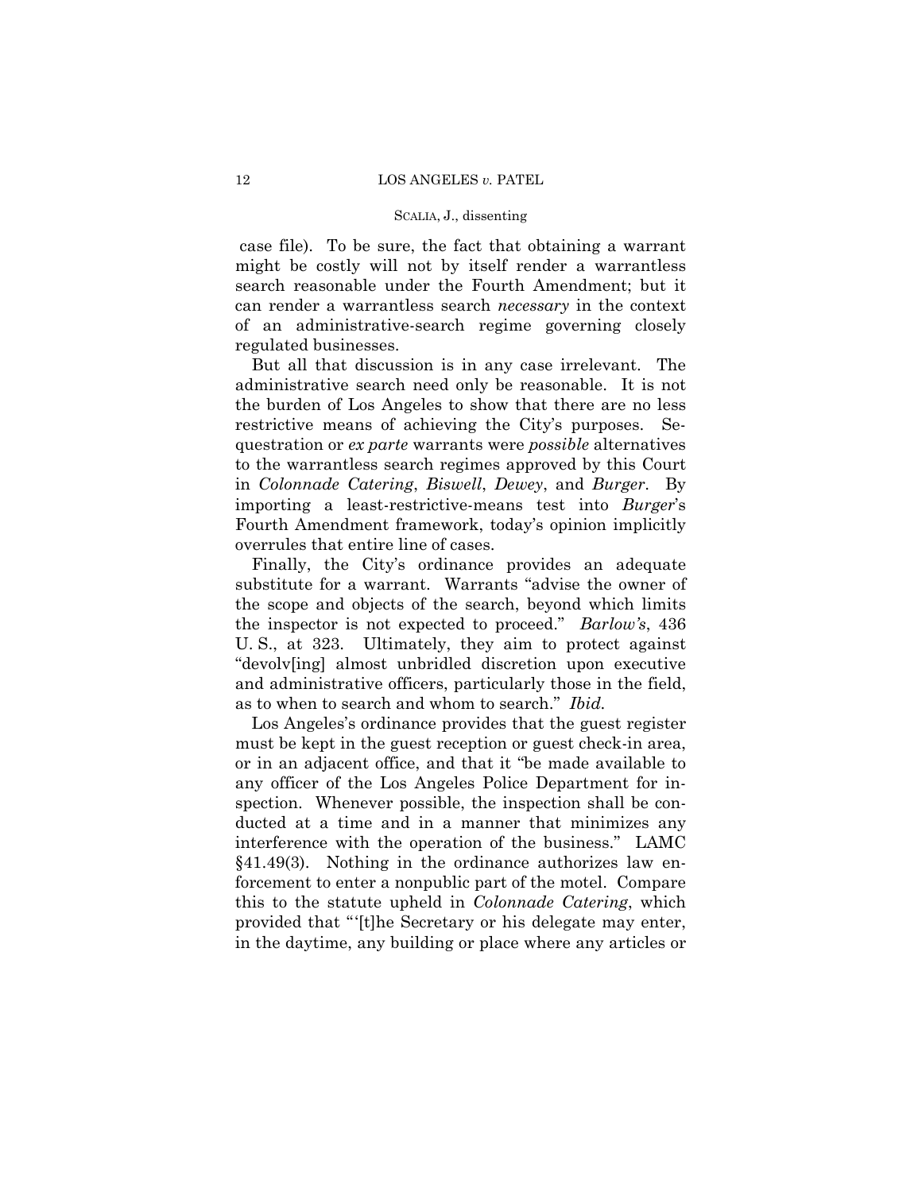case file). To be sure, the fact that obtaining a warrant might be costly will not by itself render a warrantless search reasonable under the Fourth Amendment; but it can render a warrantless search *necessary* in the context of an administrative-search regime governing closely regulated businesses.

But all that discussion is in any case irrelevant. The administrative search need only be reasonable. It is not the burden of Los Angeles to show that there are no less restrictive means of achieving the City's purposes. Sequestration or *ex parte* warrants were *possible* alternatives to the warrantless search regimes approved by this Court in *Colonnade Catering*, *Biswell*, *Dewey*, and *Burger*. By importing a least-restrictive-means test into *Burger*'s Fourth Amendment framework, today's opinion implicitly overrules that entire line of cases.

Finally, the City's ordinance provides an adequate substitute for a warrant. Warrants "advise the owner of the scope and objects of the search, beyond which limits the inspector is not expected to proceed." *Barlow's*, 436 U. S., at 323. Ultimately, they aim to protect against "devolv[ing] almost unbridled discretion upon executive and administrative officers, particularly those in the field, as to when to search and whom to search." *Ibid.* 

Los Angeles's ordinance provides that the guest register must be kept in the guest reception or guest check-in area, or in an adjacent office, and that it "be made available to any officer of the Los Angeles Police Department for inspection. Whenever possible, the inspection shall be conducted at a time and in a manner that minimizes any interference with the operation of the business." LAMC §41.49(3). Nothing in the ordinance authorizes law enforcement to enter a nonpublic part of the motel. Compare this to the statute upheld in *Colonnade Catering*, which provided that "'[t]he Secretary or his delegate may enter, in the daytime, any building or place where any articles or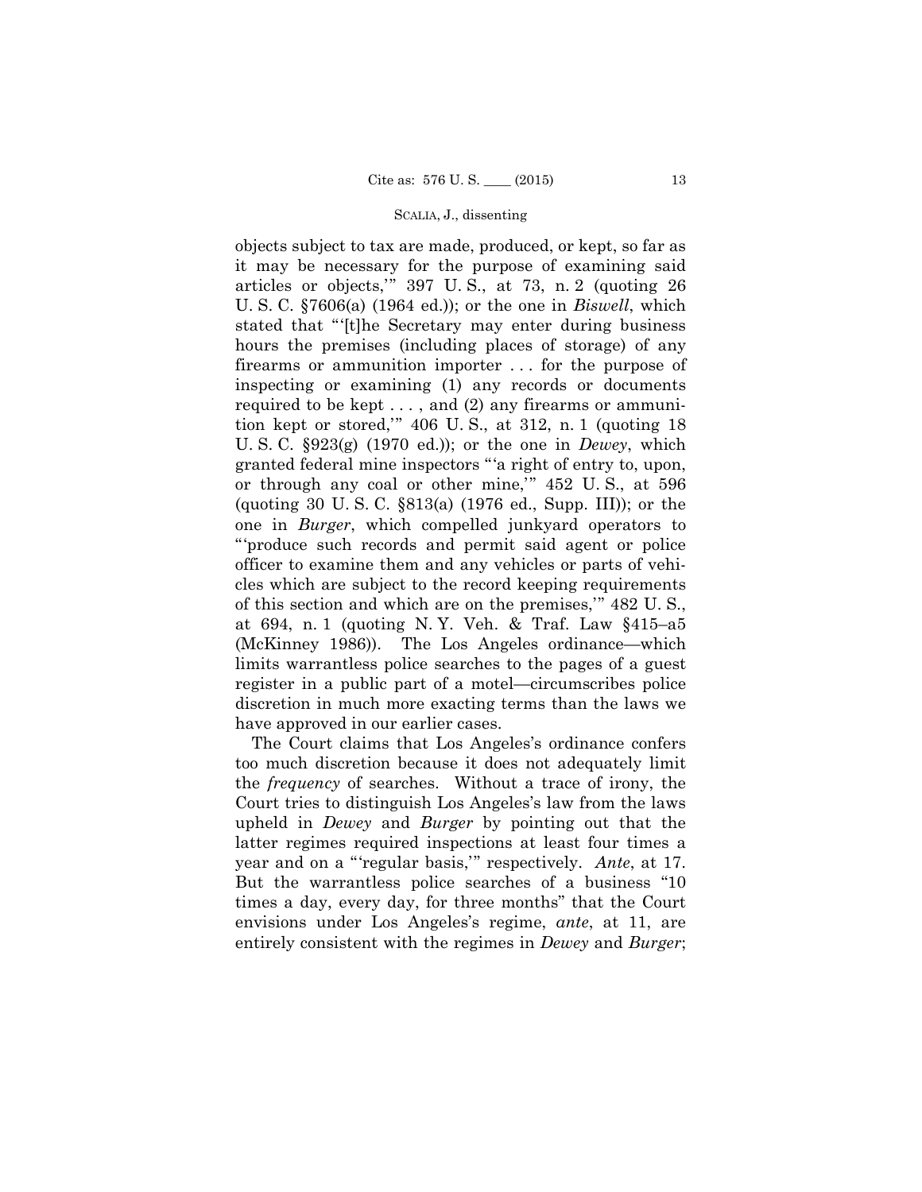objects subject to tax are made, produced, or kept, so far as it may be necessary for the purpose of examining said articles or objects,'" 397 U. S., at 73, n. 2 (quoting 26 U. S. C. §7606(a) (1964 ed.)); or the one in *Biswell*, which stated that "'[t]he Secretary may enter during business hours the premises (including places of storage) of any firearms or ammunition importer . . . for the purpose of inspecting or examining (1) any records or documents required to be kept . . . , and (2) any firearms or ammunition kept or stored,'" 406 U. S., at 312, n. 1 (quoting 18 U. S. C. §923(g) (1970 ed.)); or the one in *Dewey*, which granted federal mine inspectors "'a right of entry to, upon, or through any coal or other mine,'" 452 U. S., at 596 (quoting 30 U. S. C. §813(a) (1976 ed., Supp. III)); or the one in *Burger*, which compelled junkyard operators to "'produce such records and permit said agent or police officer to examine them and any vehicles or parts of vehicles which are subject to the record keeping requirements of this section and which are on the premises,'" 482 U. S., at 694, n. 1 (quoting N. Y. Veh. & Traf. Law §415–a5 (McKinney 1986)). The Los Angeles ordinance—which limits warrantless police searches to the pages of a guest register in a public part of a motel—circumscribes police discretion in much more exacting terms than the laws we have approved in our earlier cases.

The Court claims that Los Angeles's ordinance confers too much discretion because it does not adequately limit the *frequency* of searches. Without a trace of irony, the Court tries to distinguish Los Angeles's law from the laws upheld in *Dewey* and *Burger* by pointing out that the latter regimes required inspections at least four times a year and on a " 'regular basis,'" respectively. *Ante*, at 17. But the warrantless police searches of a business "10 times a day, every day, for three months" that the Court envisions under Los Angeles's regime, *ante*, at 11, are entirely consistent with the regimes in *Dewey* and *Burger*;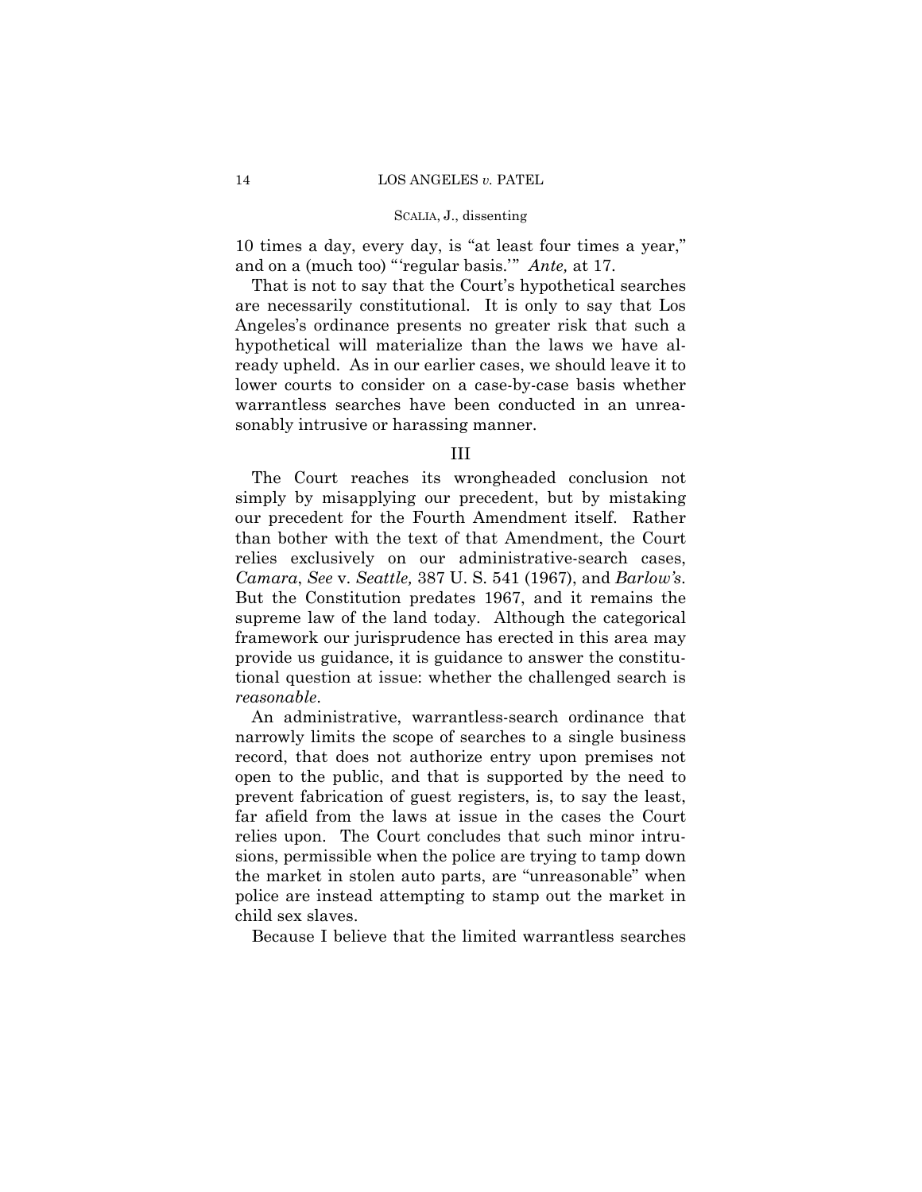10 times a day, every day, is "at least four times a year," and on a (much too) "'regular basis.'" *Ante,* at 17.

That is not to say that the Court's hypothetical searches are necessarily constitutional. It is only to say that Los Angeles's ordinance presents no greater risk that such a hypothetical will materialize than the laws we have already upheld. As in our earlier cases, we should leave it to lower courts to consider on a case-by-case basis whether warrantless searches have been conducted in an unreasonably intrusive or harassing manner.

III

The Court reaches its wrongheaded conclusion not simply by misapplying our precedent, but by mistaking our precedent for the Fourth Amendment itself. Rather than bother with the text of that Amendment, the Court relies exclusively on our administrative-search cases, *Camara*, *See* v. *Seattle,* 387 U. S. 541 (1967), and *Barlow's*. But the Constitution predates 1967, and it remains the supreme law of the land today. Although the categorical framework our jurisprudence has erected in this area may provide us guidance, it is guidance to answer the constitutional question at issue: whether the challenged search is *reasonable*.

An administrative, warrantless-search ordinance that narrowly limits the scope of searches to a single business record, that does not authorize entry upon premises not open to the public, and that is supported by the need to prevent fabrication of guest registers, is, to say the least, far afield from the laws at issue in the cases the Court relies upon. The Court concludes that such minor intrusions, permissible when the police are trying to tamp down the market in stolen auto parts, are "unreasonable" when police are instead attempting to stamp out the market in child sex slaves.

Because I believe that the limited warrantless searches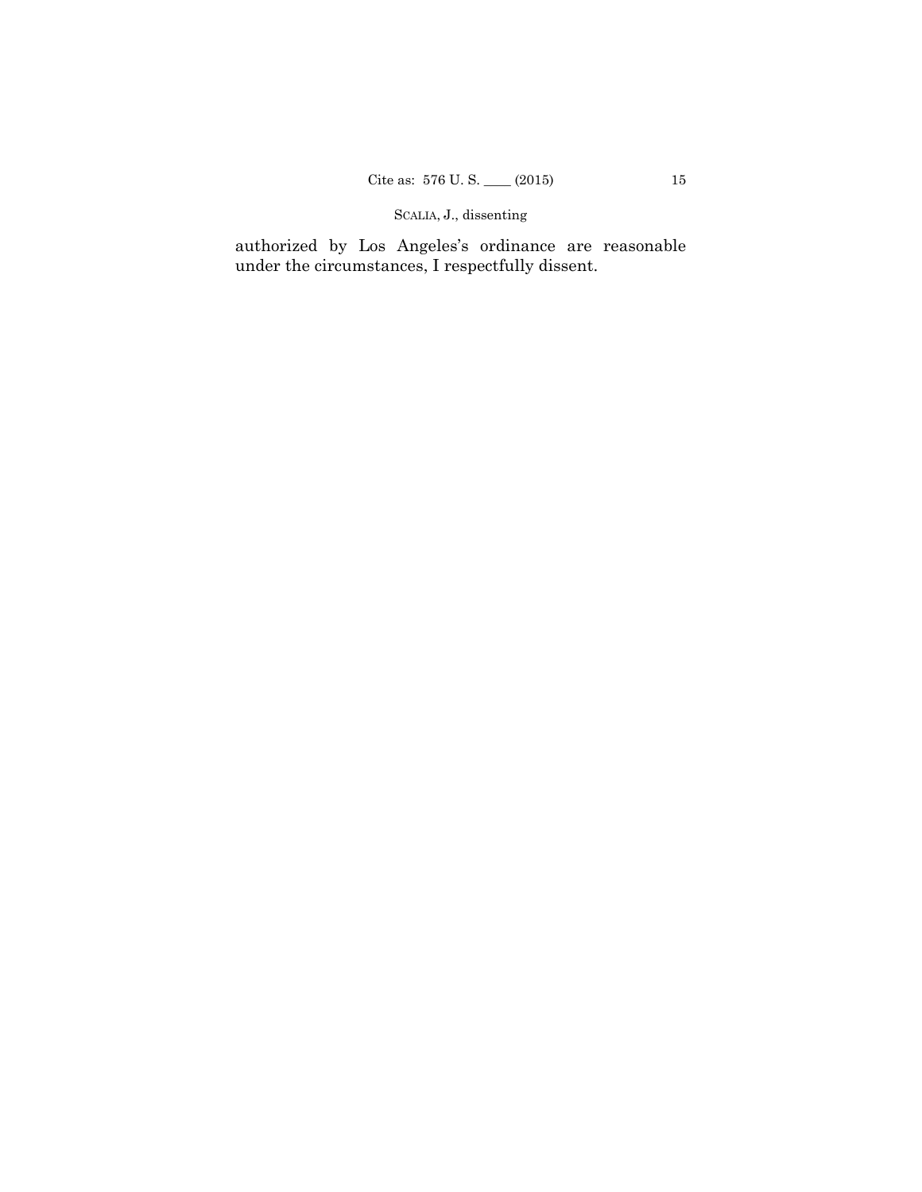authorized by Los Angeles's ordinance are reasonable under the circumstances, I respectfully dissent.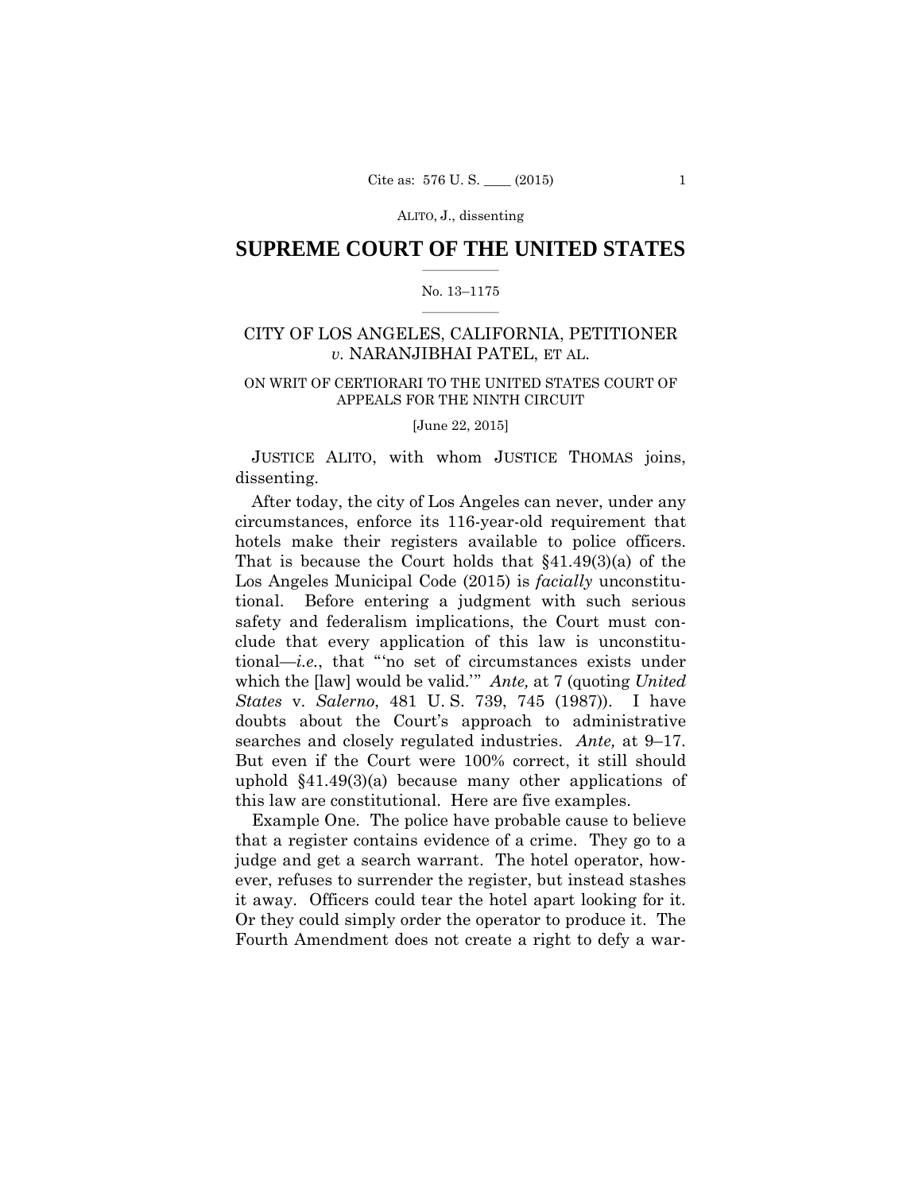### $\frac{1}{2}$  ,  $\frac{1}{2}$  ,  $\frac{1}{2}$  ,  $\frac{1}{2}$  ,  $\frac{1}{2}$  ,  $\frac{1}{2}$  ,  $\frac{1}{2}$ **SUPREME COURT OF THE UNITED STATES**

#### $\frac{1}{2}$  ,  $\frac{1}{2}$  ,  $\frac{1}{2}$  ,  $\frac{1}{2}$  ,  $\frac{1}{2}$  ,  $\frac{1}{2}$ No. 13–1175

# CITY OF LOS ANGELES, CALIFORNIA, PETITIONER *v.* NARANJIBHAI PATEL, ET AL.

# ON WRIT OF CERTIORARI TO THE UNITED STATES COURT OF APPEALS FOR THE NINTH CIRCUIT

[June 22, 2015]

JUSTICE ALITO, with whom JUSTICE THOMAS joins, dissenting.

searches and closely regulated industries. Ante, at 9–17. After today, the city of Los Angeles can never, under any circumstances, enforce its 116-year-old requirement that hotels make their registers available to police officers. That is because the Court holds that §41.49(3)(a) of the Los Angeles Municipal Code (2015) is *facially* unconstitutional. Before entering a judgment with such serious safety and federalism implications, the Court must conclude that every application of this law is unconstitutional—*i.e.*, that "'no set of circumstances exists under which the [law] would be valid.'" *Ante,* at 7 (quoting *United States* v. *Salerno*, 481 U. S. 739, 745 (1987)). I have doubts about the Court's approach to administrative But even if the Court were 100% correct, it still should uphold §41.49(3)(a) because many other applications of this law are constitutional. Here are five examples.

Example One. The police have probable cause to believe that a register contains evidence of a crime. They go to a judge and get a search warrant. The hotel operator, however, refuses to surrender the register, but instead stashes it away. Officers could tear the hotel apart looking for it. Or they could simply order the operator to produce it. The Fourth Amendment does not create a right to defy a war-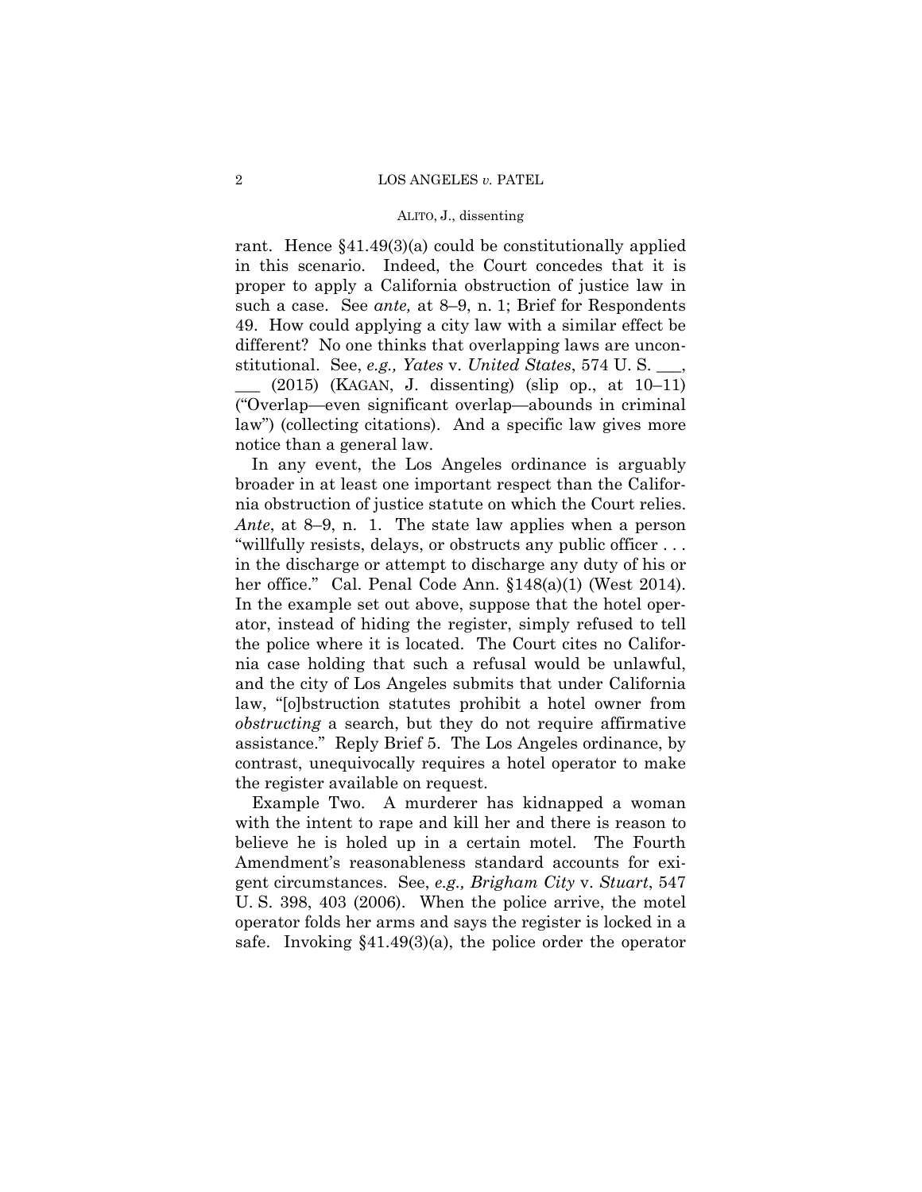rant. Hence  $$41.49(3)(a)$  could be constitutionally applied in this scenario. Indeed, the Court concedes that it is proper to apply a California obstruction of justice law in such a case. See *ante,* at 8–9, n. 1; Brief for Respondents 49. How could applying a city law with a similar effect be different? No one thinks that overlapping laws are unconstitutional. See, *e.g., Yates* v. *United States*, 574 U. S. \_\_\_,

\_\_\_ (2015) (KAGAN, J. dissenting) (slip op., at 10–11) ("Overlap—even significant overlap—abounds in criminal law") (collecting citations). And a specific law gives more notice than a general law.

 nia obstruction of justice statute on which the Court relies. In any event, the Los Angeles ordinance is arguably broader in at least one important respect than the Califor-*Ante*, at 8–9, n. 1. The state law applies when a person "willfully resists, delays, or obstructs any public officer . . . in the discharge or attempt to discharge any duty of his or her office." Cal. Penal Code Ann.  $$148(a)(1)$  (West 2014). In the example set out above, suppose that the hotel operator, instead of hiding the register, simply refused to tell the police where it is located. The Court cites no California case holding that such a refusal would be unlawful, and the city of Los Angeles submits that under California law, "[o]bstruction statutes prohibit a hotel owner from *obstructing* a search, but they do not require affirmative assistance." Reply Brief 5. The Los Angeles ordinance, by contrast, unequivocally requires a hotel operator to make the register available on request.

Example Two. A murderer has kidnapped a woman with the intent to rape and kill her and there is reason to believe he is holed up in a certain motel. The Fourth Amendment's reasonableness standard accounts for exigent circumstances. See, *e.g., Brigham City* v. *Stuart*, 547 U. S. 398, 403 (2006). When the police arrive, the motel operator folds her arms and says the register is locked in a safe. Invoking  $§41.49(3)(a)$ , the police order the operator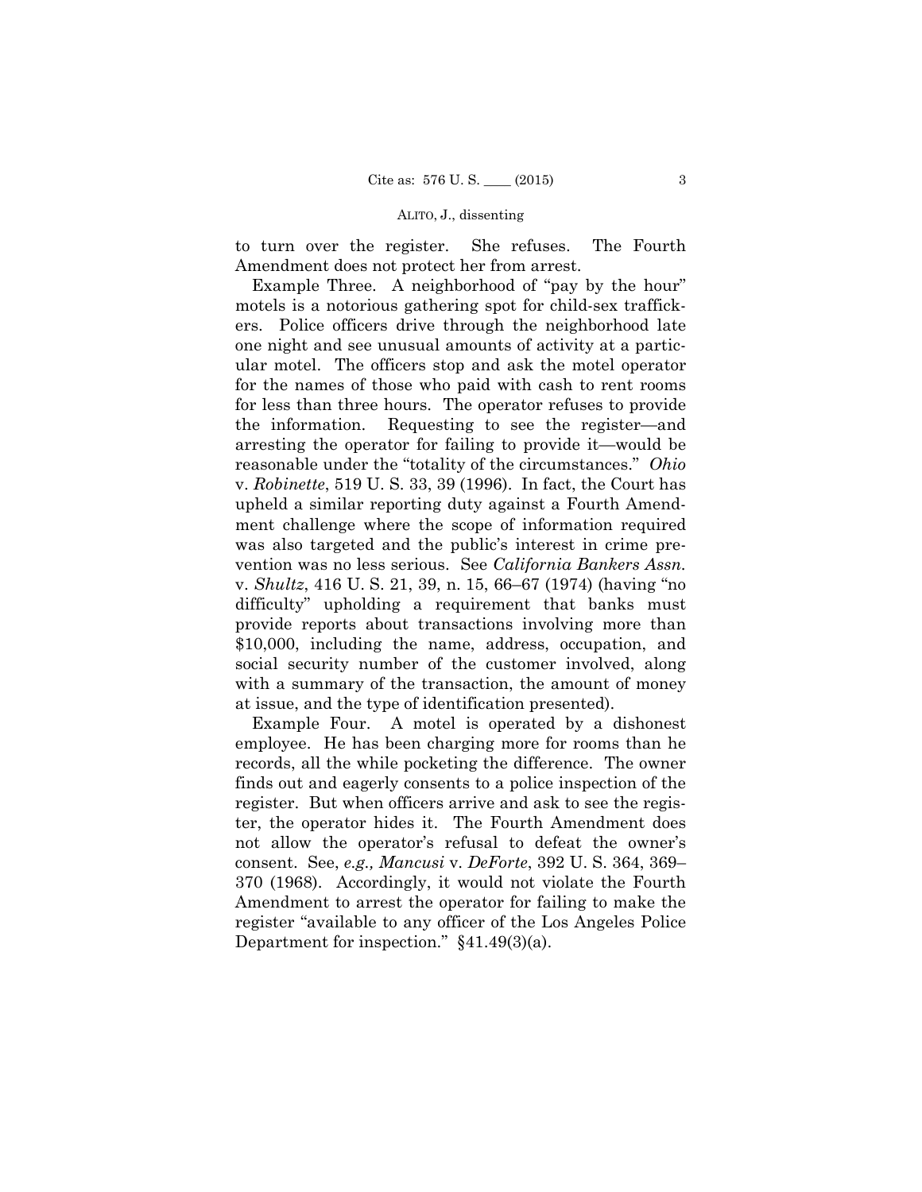to turn over the register. She refuses. Amendment does not protect her from arrest. The Fourth

Example Three. A neighborhood of "pay by the hour" motels is a notorious gathering spot for child-sex traffickers. Police officers drive through the neighborhood late one night and see unusual amounts of activity at a particular motel. The officers stop and ask the motel operator for the names of those who paid with cash to rent rooms for less than three hours. The operator refuses to provide the information. Requesting to see the register—and arresting the operator for failing to provide it—would be reasonable under the "totality of the circumstances." *Ohio*  v. *Robinette*, 519 U. S. 33, 39 (1996). In fact, the Court has upheld a similar reporting duty against a Fourth Amendment challenge where the scope of information required was also targeted and the public's interest in crime prevention was no less serious. See *California Bankers Assn.*  v. *Shultz*, 416 U. S. 21, 39, n. 15, 66–67 (1974) (having "no difficulty" upholding a requirement that banks must provide reports about transactions involving more than \$10,000, including the name, address, occupation, and social security number of the customer involved, along with a summary of the transaction, the amount of money at issue, and the type of identification presented).

Example Four. A motel is operated by a dishonest employee. He has been charging more for rooms than he records, all the while pocketing the difference. The owner finds out and eagerly consents to a police inspection of the register. But when officers arrive and ask to see the register, the operator hides it. The Fourth Amendment does not allow the operator's refusal to defeat the owner's consent. See, *e.g., Mancusi* v. *DeForte*, 392 U. S. 364, 369– 370 (1968). Accordingly, it would not violate the Fourth Amendment to arrest the operator for failing to make the register "available to any officer of the Los Angeles Police Department for inspection." §41.49(3)(a).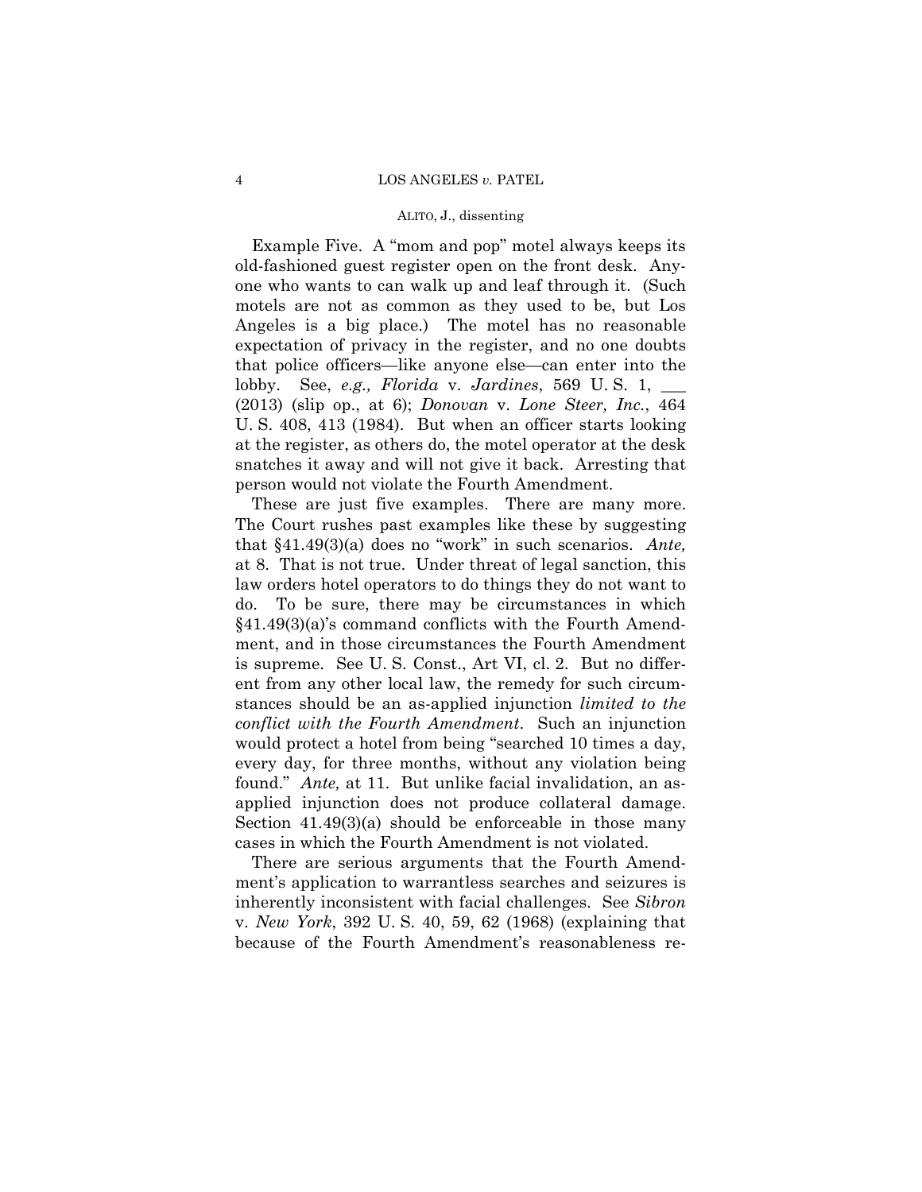#### 4 LOS ANGELES *v.* PATEL

#### ALITO, J., dissenting

Example Five. A "mom and pop" motel always keeps its old-fashioned guest register open on the front desk. Anyone who wants to can walk up and leaf through it. (Such motels are not as common as they used to be, but Los Angeles is a big place.) The motel has no reasonable expectation of privacy in the register, and no one doubts that police officers—like anyone else—can enter into the lobby. See, *e.g., Florida* v. *Jardines*, 569 U. S. 1, \_\_\_ (2013) (slip op., at 6); *Donovan* v. *Lone Steer, Inc.*, 464 U. S. 408, 413 (1984). But when an officer starts looking at the register, as others do, the motel operator at the desk snatches it away and will not give it back. Arresting that person would not violate the Fourth Amendment.

These are just five examples. There are many more. The Court rushes past examples like these by suggesting that §41.49(3)(a) does no "work" in such scenarios. *Ante,*  at 8. That is not true. Under threat of legal sanction, this law orders hotel operators to do things they do not want to do. To be sure, there may be circumstances in which §41.49(3)(a)'s command conflicts with the Fourth Amendment, and in those circumstances the Fourth Amendment is supreme. See U. S. Const., Art VI, cl. 2. But no different from any other local law, the remedy for such circumstances should be an as-applied injunction *limited to the conflict with the Fourth Amendment*. Such an injunction would protect a hotel from being "searched 10 times a day, every day, for three months, without any violation being found." *Ante,* at 11. But unlike facial invalidation, an asapplied injunction does not produce collateral damage. Section 41.49(3)(a) should be enforceable in those many cases in which the Fourth Amendment is not violated.

There are serious arguments that the Fourth Amendment's application to warrantless searches and seizures is inherently inconsistent with facial challenges. See *Sibron*  v. *New York*, 392 U. S. 40, 59, 62 (1968) (explaining that because of the Fourth Amendment's reasonableness re-